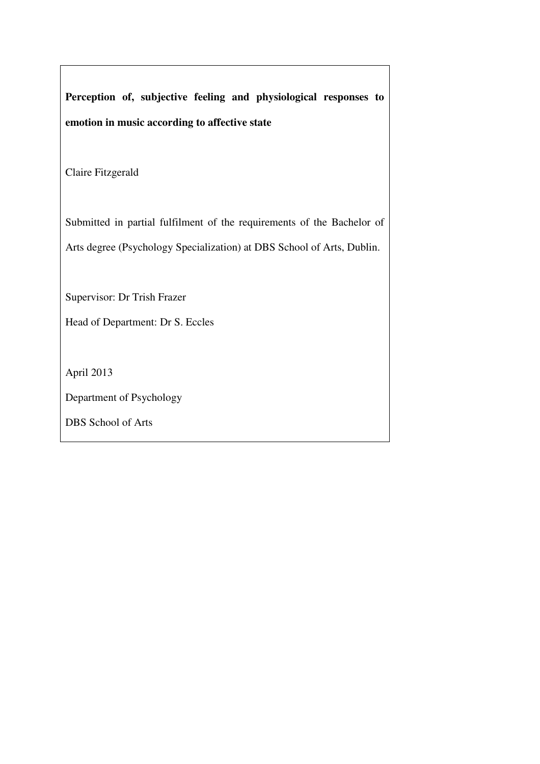**Perception of, subjective feeling and physiological responses to emotion in music according to affective state** 

Claire Fitzgerald

Submitted in partial fulfilment of the requirements of the Bachelor of Arts degree (Psychology Specialization) at DBS School of Arts, Dublin.

Supervisor: Dr Trish Frazer

Head of Department: Dr S. Eccles

April 2013

Department of Psychology

DBS School of Arts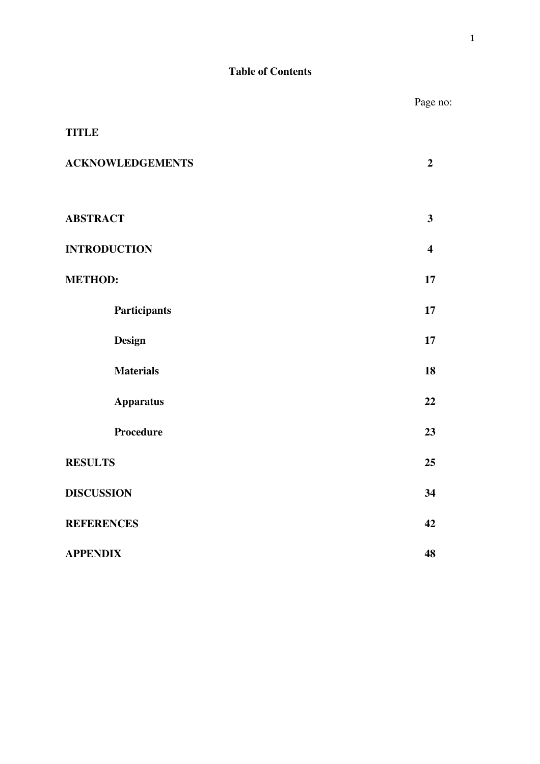# **Table of Contents**

|                         | Page no:                |
|-------------------------|-------------------------|
| <b>TITLE</b>            |                         |
| <b>ACKNOWLEDGEMENTS</b> | $\overline{2}$          |
|                         |                         |
| <b>ABSTRACT</b>         | $\mathbf{3}$            |
| <b>INTRODUCTION</b>     | $\overline{\mathbf{4}}$ |
| <b>METHOD:</b>          | 17                      |
| Participants            | 17                      |
| <b>Design</b>           | 17                      |
| <b>Materials</b>        | 18                      |
| <b>Apparatus</b>        | 22                      |
| Procedure               | 23                      |
| <b>RESULTS</b>          | 25                      |
| <b>DISCUSSION</b>       | 34                      |
| <b>REFERENCES</b>       | 42                      |
| <b>APPENDIX</b>         | 48                      |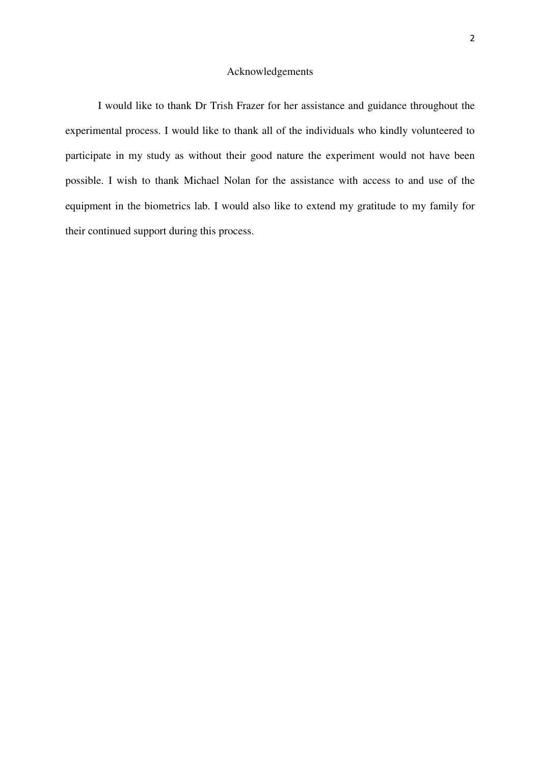## Acknowledgements

I would like to thank Dr Trish Frazer for her assistance and guidance throughout the experimental process. I would like to thank all of the individuals who kindly volunteered to participate in my study as without their good nature the experiment would not have been possible. I wish to thank Michael Nolan for the assistance with access to and use of the equipment in the biometrics lab. I would also like to extend my gratitude to my family for their continued support during this process.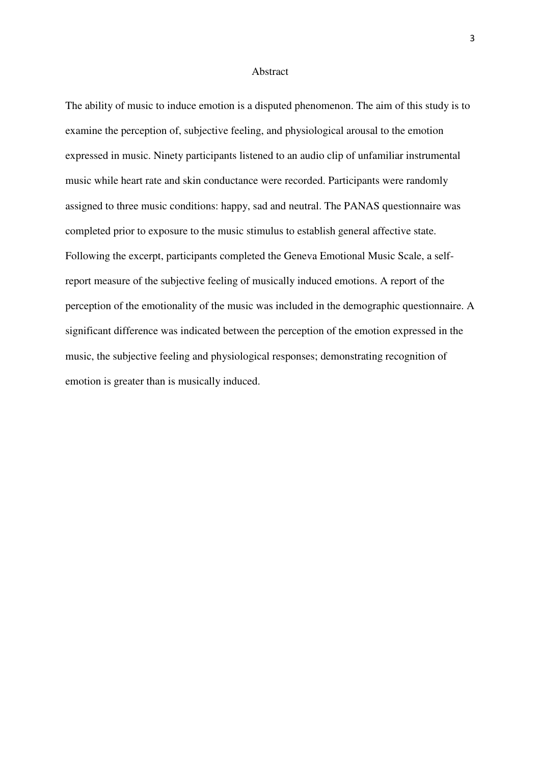#### Abstract

The ability of music to induce emotion is a disputed phenomenon. The aim of this study is to examine the perception of, subjective feeling, and physiological arousal to the emotion expressed in music. Ninety participants listened to an audio clip of unfamiliar instrumental music while heart rate and skin conductance were recorded. Participants were randomly assigned to three music conditions: happy, sad and neutral. The PANAS questionnaire was completed prior to exposure to the music stimulus to establish general affective state. Following the excerpt, participants completed the Geneva Emotional Music Scale, a selfreport measure of the subjective feeling of musically induced emotions. A report of the perception of the emotionality of the music was included in the demographic questionnaire. A significant difference was indicated between the perception of the emotion expressed in the music, the subjective feeling and physiological responses; demonstrating recognition of emotion is greater than is musically induced.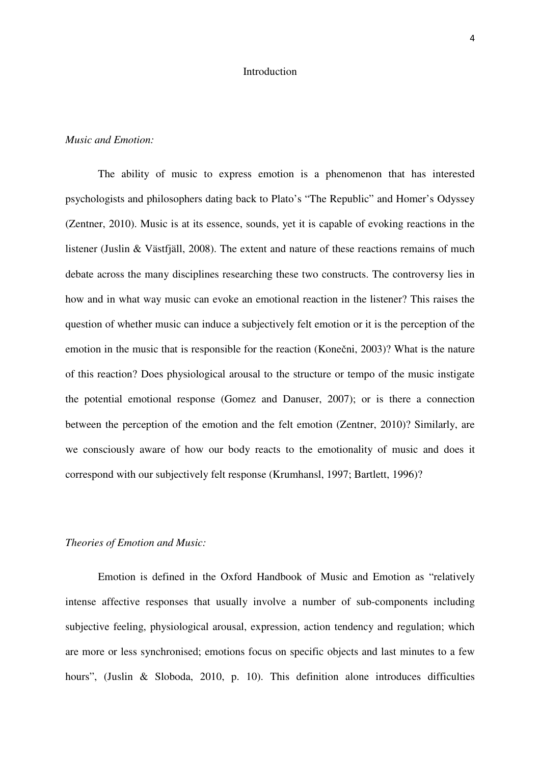#### Introduction

## *Music and Emotion:*

The ability of music to express emotion is a phenomenon that has interested psychologists and philosophers dating back to Plato's "The Republic" and Homer's Odyssey (Zentner, 2010). Music is at its essence, sounds, yet it is capable of evoking reactions in the listener (Juslin & Västfjäll, 2008). The extent and nature of these reactions remains of much debate across the many disciplines researching these two constructs. The controversy lies in how and in what way music can evoke an emotional reaction in the listener? This raises the question of whether music can induce a subjectively felt emotion or it is the perception of the emotion in the music that is responsible for the reaction (Konečni, 2003)? What is the nature of this reaction? Does physiological arousal to the structure or tempo of the music instigate the potential emotional response (Gomez and Danuser, 2007); or is there a connection between the perception of the emotion and the felt emotion (Zentner, 2010)? Similarly, are we consciously aware of how our body reacts to the emotionality of music and does it correspond with our subjectively felt response (Krumhansl, 1997; Bartlett, 1996)?

## *Theories of Emotion and Music:*

Emotion is defined in the Oxford Handbook of Music and Emotion as "relatively intense affective responses that usually involve a number of sub-components including subjective feeling, physiological arousal, expression, action tendency and regulation; which are more or less synchronised; emotions focus on specific objects and last minutes to a few hours", (Juslin & Sloboda, 2010, p. 10). This definition alone introduces difficulties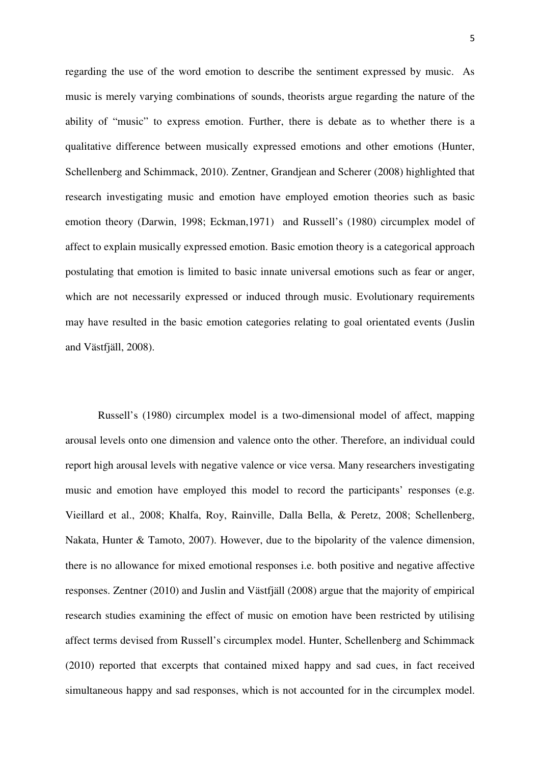regarding the use of the word emotion to describe the sentiment expressed by music. As music is merely varying combinations of sounds, theorists argue regarding the nature of the ability of "music" to express emotion. Further, there is debate as to whether there is a qualitative difference between musically expressed emotions and other emotions (Hunter, Schellenberg and Schimmack, 2010). Zentner, Grandjean and Scherer (2008) highlighted that research investigating music and emotion have employed emotion theories such as basic emotion theory (Darwin, 1998; Eckman,1971) and Russell's (1980) circumplex model of affect to explain musically expressed emotion. Basic emotion theory is a categorical approach postulating that emotion is limited to basic innate universal emotions such as fear or anger, which are not necessarily expressed or induced through music. Evolutionary requirements may have resulted in the basic emotion categories relating to goal orientated events (Juslin and Västfjäll, 2008).

Russell's (1980) circumplex model is a two-dimensional model of affect, mapping arousal levels onto one dimension and valence onto the other. Therefore, an individual could report high arousal levels with negative valence or vice versa. Many researchers investigating music and emotion have employed this model to record the participants' responses (e.g. Vieillard et al., 2008; Khalfa, Roy, Rainville, Dalla Bella, & Peretz, 2008; Schellenberg, Nakata, Hunter & Tamoto, 2007). However, due to the bipolarity of the valence dimension, there is no allowance for mixed emotional responses i.e. both positive and negative affective responses. Zentner (2010) and Juslin and Västfjäll (2008) argue that the majority of empirical research studies examining the effect of music on emotion have been restricted by utilising affect terms devised from Russell's circumplex model. Hunter, Schellenberg and Schimmack (2010) reported that excerpts that contained mixed happy and sad cues, in fact received simultaneous happy and sad responses, which is not accounted for in the circumplex model.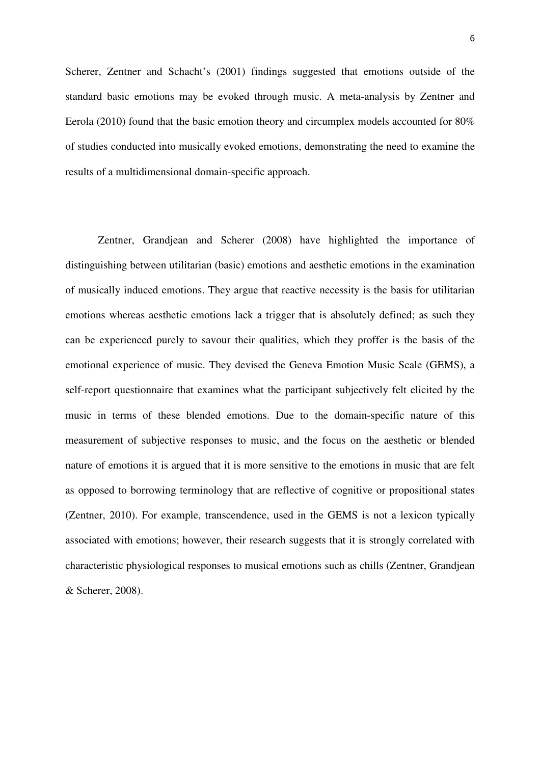Scherer, Zentner and Schacht's (2001) findings suggested that emotions outside of the standard basic emotions may be evoked through music. A meta-analysis by Zentner and Eerola (2010) found that the basic emotion theory and circumplex models accounted for 80% of studies conducted into musically evoked emotions, demonstrating the need to examine the results of a multidimensional domain-specific approach.

Zentner, Grandjean and Scherer (2008) have highlighted the importance of distinguishing between utilitarian (basic) emotions and aesthetic emotions in the examination of musically induced emotions. They argue that reactive necessity is the basis for utilitarian emotions whereas aesthetic emotions lack a trigger that is absolutely defined; as such they can be experienced purely to savour their qualities, which they proffer is the basis of the emotional experience of music. They devised the Geneva Emotion Music Scale (GEMS), a self-report questionnaire that examines what the participant subjectively felt elicited by the music in terms of these blended emotions. Due to the domain-specific nature of this measurement of subjective responses to music, and the focus on the aesthetic or blended nature of emotions it is argued that it is more sensitive to the emotions in music that are felt as opposed to borrowing terminology that are reflective of cognitive or propositional states (Zentner, 2010). For example, transcendence, used in the GEMS is not a lexicon typically associated with emotions; however, their research suggests that it is strongly correlated with characteristic physiological responses to musical emotions such as chills (Zentner, Grandjean & Scherer, 2008).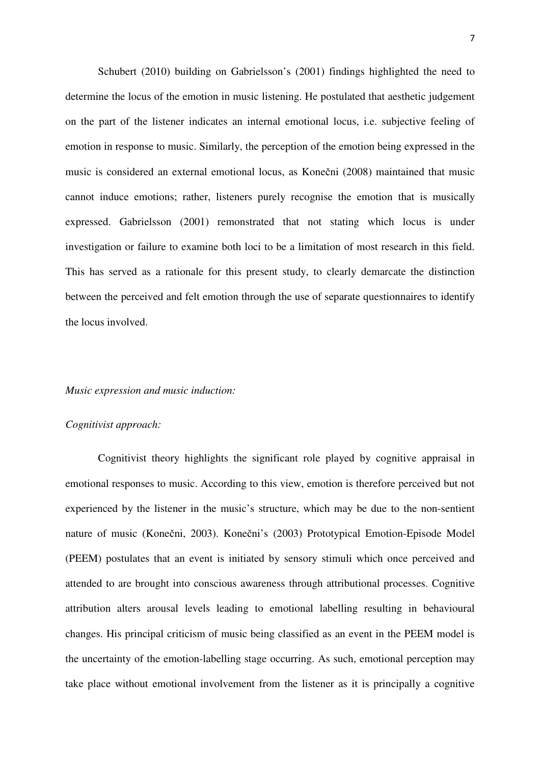Schubert (2010) building on Gabrielsson's (2001) findings highlighted the need to determine the locus of the emotion in music listening. He postulated that aesthetic judgement on the part of the listener indicates an internal emotional locus, i.e. subjective feeling of emotion in response to music. Similarly, the perception of the emotion being expressed in the music is considered an external emotional locus, as Konečni (2008) maintained that music cannot induce emotions; rather, listeners purely recognise the emotion that is musically expressed. Gabrielsson (2001) remonstrated that not stating which locus is under investigation or failure to examine both loci to be a limitation of most research in this field. This has served as a rationale for this present study, to clearly demarcate the distinction between the perceived and felt emotion through the use of separate questionnaires to identify the locus involved.

#### *Music expression and music induction:*

## *Cognitivist approach:*

Cognitivist theory highlights the significant role played by cognitive appraisal in emotional responses to music. According to this view, emotion is therefore perceived but not experienced by the listener in the music's structure, which may be due to the non-sentient nature of music (Konečni, 2003). Konečni's (2003) Prototypical Emotion-Episode Model (PEEM) postulates that an event is initiated by sensory stimuli which once perceived and attended to are brought into conscious awareness through attributional processes. Cognitive attribution alters arousal levels leading to emotional labelling resulting in behavioural changes. His principal criticism of music being classified as an event in the PEEM model is the uncertainty of the emotion-labelling stage occurring. As such, emotional perception may take place without emotional involvement from the listener as it is principally a cognitive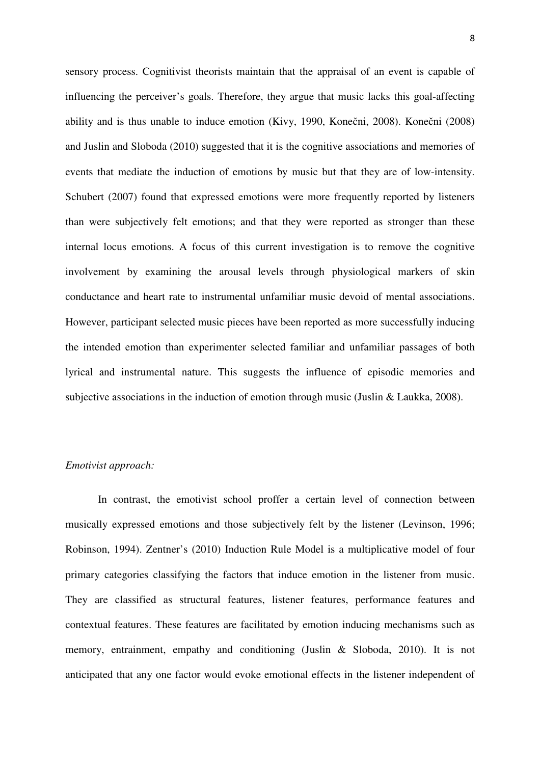sensory process. Cognitivist theorists maintain that the appraisal of an event is capable of influencing the perceiver's goals. Therefore, they argue that music lacks this goal-affecting ability and is thus unable to induce emotion (Kivy, 1990, Konečni, 2008). Konečni (2008) and Juslin and Sloboda (2010) suggested that it is the cognitive associations and memories of events that mediate the induction of emotions by music but that they are of low-intensity. Schubert (2007) found that expressed emotions were more frequently reported by listeners than were subjectively felt emotions; and that they were reported as stronger than these internal locus emotions. A focus of this current investigation is to remove the cognitive involvement by examining the arousal levels through physiological markers of skin conductance and heart rate to instrumental unfamiliar music devoid of mental associations. However, participant selected music pieces have been reported as more successfully inducing the intended emotion than experimenter selected familiar and unfamiliar passages of both lyrical and instrumental nature. This suggests the influence of episodic memories and subjective associations in the induction of emotion through music (Juslin & Laukka, 2008).

## *Emotivist approach:*

In contrast, the emotivist school proffer a certain level of connection between musically expressed emotions and those subjectively felt by the listener (Levinson, 1996; Robinson, 1994). Zentner's (2010) Induction Rule Model is a multiplicative model of four primary categories classifying the factors that induce emotion in the listener from music. They are classified as structural features, listener features, performance features and contextual features. These features are facilitated by emotion inducing mechanisms such as memory, entrainment, empathy and conditioning (Juslin & Sloboda, 2010). It is not anticipated that any one factor would evoke emotional effects in the listener independent of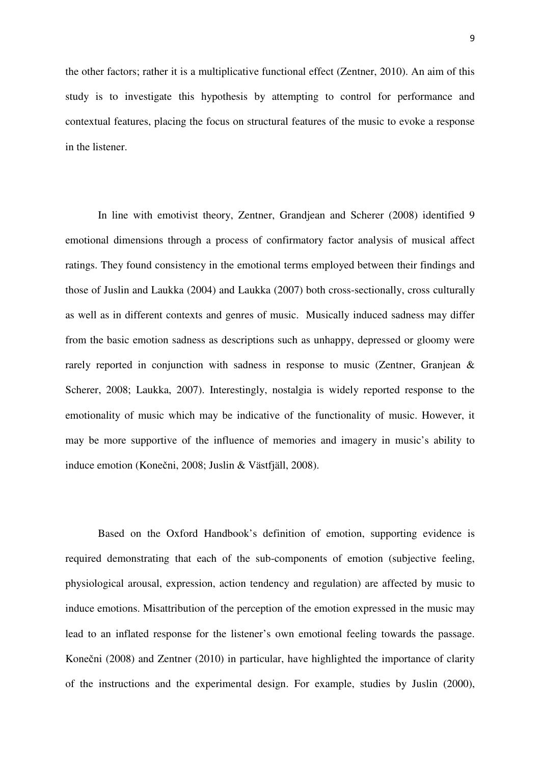the other factors; rather it is a multiplicative functional effect (Zentner, 2010). An aim of this study is to investigate this hypothesis by attempting to control for performance and contextual features, placing the focus on structural features of the music to evoke a response in the listener.

In line with emotivist theory, Zentner, Grandjean and Scherer (2008) identified 9 emotional dimensions through a process of confirmatory factor analysis of musical affect ratings. They found consistency in the emotional terms employed between their findings and those of Juslin and Laukka (2004) and Laukka (2007) both cross-sectionally, cross culturally as well as in different contexts and genres of music. Musically induced sadness may differ from the basic emotion sadness as descriptions such as unhappy, depressed or gloomy were rarely reported in conjunction with sadness in response to music (Zentner, Granjean & Scherer, 2008; Laukka, 2007). Interestingly, nostalgia is widely reported response to the emotionality of music which may be indicative of the functionality of music. However, it may be more supportive of the influence of memories and imagery in music's ability to induce emotion (Konečni, 2008; Juslin & Västfjäll, 2008).

Based on the Oxford Handbook's definition of emotion, supporting evidence is required demonstrating that each of the sub-components of emotion (subjective feeling, physiological arousal, expression, action tendency and regulation) are affected by music to induce emotions. Misattribution of the perception of the emotion expressed in the music may lead to an inflated response for the listener's own emotional feeling towards the passage. Konečni (2008) and Zentner (2010) in particular, have highlighted the importance of clarity of the instructions and the experimental design. For example, studies by Juslin (2000),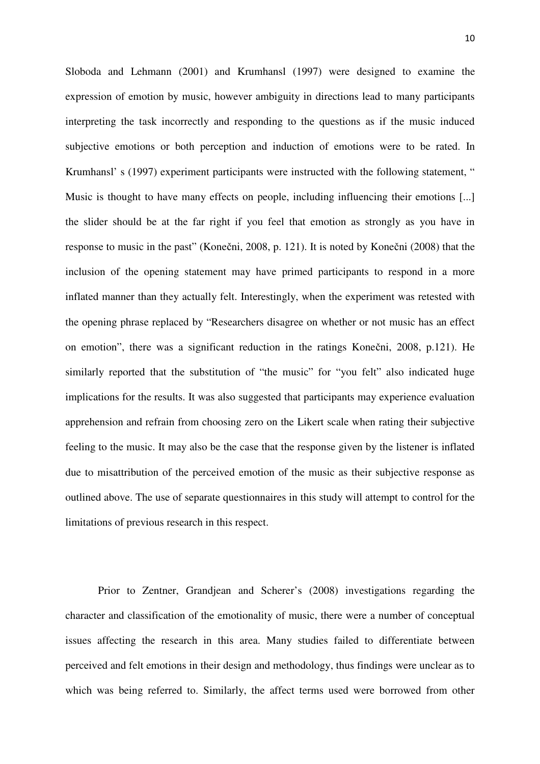Sloboda and Lehmann (2001) and Krumhansl (1997) were designed to examine the expression of emotion by music, however ambiguity in directions lead to many participants interpreting the task incorrectly and responding to the questions as if the music induced subjective emotions or both perception and induction of emotions were to be rated. In Krumhansl' s (1997) experiment participants were instructed with the following statement, " Music is thought to have many effects on people, including influencing their emotions [...] the slider should be at the far right if you feel that emotion as strongly as you have in response to music in the past" (Konečni, 2008, p. 121). It is noted by Konečni (2008) that the inclusion of the opening statement may have primed participants to respond in a more inflated manner than they actually felt. Interestingly, when the experiment was retested with the opening phrase replaced by "Researchers disagree on whether or not music has an effect on emotion", there was a significant reduction in the ratings Konečni, 2008, p.121). He similarly reported that the substitution of "the music" for "you felt" also indicated huge implications for the results. It was also suggested that participants may experience evaluation apprehension and refrain from choosing zero on the Likert scale when rating their subjective feeling to the music. It may also be the case that the response given by the listener is inflated due to misattribution of the perceived emotion of the music as their subjective response as outlined above. The use of separate questionnaires in this study will attempt to control for the limitations of previous research in this respect.

Prior to Zentner, Grandjean and Scherer's (2008) investigations regarding the character and classification of the emotionality of music, there were a number of conceptual issues affecting the research in this area. Many studies failed to differentiate between perceived and felt emotions in their design and methodology, thus findings were unclear as to which was being referred to. Similarly, the affect terms used were borrowed from other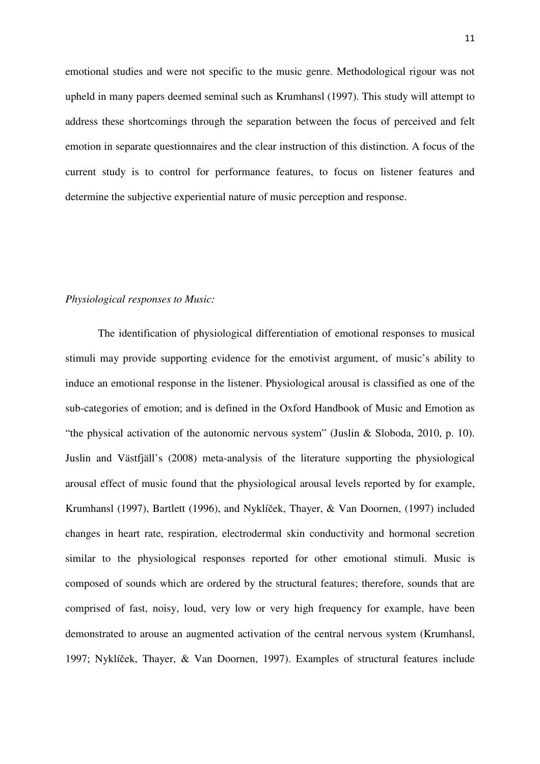emotional studies and were not specific to the music genre. Methodological rigour was not upheld in many papers deemed seminal such as Krumhansl (1997). This study will attempt to address these shortcomings through the separation between the focus of perceived and felt emotion in separate questionnaires and the clear instruction of this distinction. A focus of the current study is to control for performance features, to focus on listener features and determine the subjective experiential nature of music perception and response.

## *Physiological responses to Music:*

The identification of physiological differentiation of emotional responses to musical stimuli may provide supporting evidence for the emotivist argument, of music's ability to induce an emotional response in the listener. Physiological arousal is classified as one of the sub-categories of emotion; and is defined in the Oxford Handbook of Music and Emotion as "the physical activation of the autonomic nervous system" (Juslin & Sloboda, 2010, p. 10). Juslin and Västfjäll's (2008) meta-analysis of the literature supporting the physiological arousal effect of music found that the physiological arousal levels reported by for example, Krumhansl (1997), Bartlett (1996), and Nyklíček, Thayer, & Van Doornen, (1997) included changes in heart rate, respiration, electrodermal skin conductivity and hormonal secretion similar to the physiological responses reported for other emotional stimuli. Music is composed of sounds which are ordered by the structural features; therefore, sounds that are comprised of fast, noisy, loud, very low or very high frequency for example, have been demonstrated to arouse an augmented activation of the central nervous system (Krumhansl, 1997; Nyklíček, Thayer, & Van Doornen, 1997). Examples of structural features include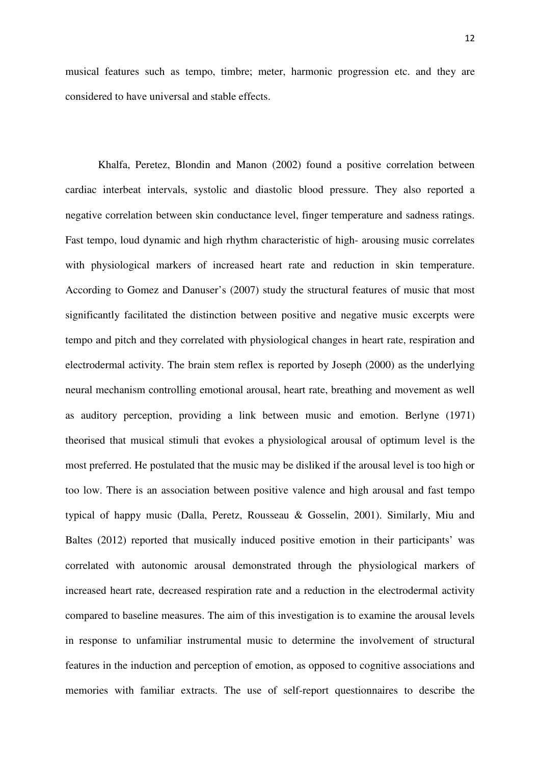musical features such as tempo, timbre; meter, harmonic progression etc. and they are considered to have universal and stable effects.

Khalfa, Peretez, Blondin and Manon (2002) found a positive correlation between cardiac interbeat intervals, systolic and diastolic blood pressure. They also reported a negative correlation between skin conductance level, finger temperature and sadness ratings. Fast tempo, loud dynamic and high rhythm characteristic of high- arousing music correlates with physiological markers of increased heart rate and reduction in skin temperature. According to Gomez and Danuser's (2007) study the structural features of music that most significantly facilitated the distinction between positive and negative music excerpts were tempo and pitch and they correlated with physiological changes in heart rate, respiration and electrodermal activity. The brain stem reflex is reported by Joseph (2000) as the underlying neural mechanism controlling emotional arousal, heart rate, breathing and movement as well as auditory perception, providing a link between music and emotion. Berlyne (1971) theorised that musical stimuli that evokes a physiological arousal of optimum level is the most preferred. He postulated that the music may be disliked if the arousal level is too high or too low. There is an association between positive valence and high arousal and fast tempo typical of happy music (Dalla, Peretz, Rousseau & Gosselin, 2001). Similarly, Miu and Baltes (2012) reported that musically induced positive emotion in their participants' was correlated with autonomic arousal demonstrated through the physiological markers of increased heart rate, decreased respiration rate and a reduction in the electrodermal activity compared to baseline measures. The aim of this investigation is to examine the arousal levels in response to unfamiliar instrumental music to determine the involvement of structural features in the induction and perception of emotion, as opposed to cognitive associations and memories with familiar extracts. The use of self-report questionnaires to describe the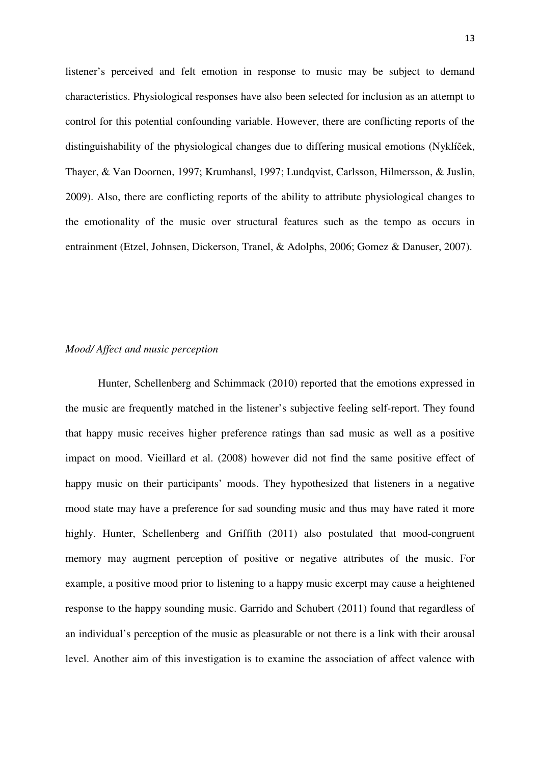listener's perceived and felt emotion in response to music may be subject to demand characteristics. Physiological responses have also been selected for inclusion as an attempt to control for this potential confounding variable. However, there are conflicting reports of the distinguishability of the physiological changes due to differing musical emotions (Nyklíček, Thayer, & Van Doornen, 1997; Krumhansl, 1997; Lundqvist, Carlsson, Hilmersson, & Juslin, 2009). Also, there are conflicting reports of the ability to attribute physiological changes to the emotionality of the music over structural features such as the tempo as occurs in entrainment (Etzel, Johnsen, Dickerson, Tranel, & Adolphs, 2006; Gomez & Danuser, 2007).

## *Mood/ Affect and music perception*

Hunter, Schellenberg and Schimmack (2010) reported that the emotions expressed in the music are frequently matched in the listener's subjective feeling self-report. They found that happy music receives higher preference ratings than sad music as well as a positive impact on mood. Vieillard et al. (2008) however did not find the same positive effect of happy music on their participants' moods. They hypothesized that listeners in a negative mood state may have a preference for sad sounding music and thus may have rated it more highly. Hunter, Schellenberg and Griffith (2011) also postulated that mood-congruent memory may augment perception of positive or negative attributes of the music. For example, a positive mood prior to listening to a happy music excerpt may cause a heightened response to the happy sounding music. Garrido and Schubert (2011) found that regardless of an individual's perception of the music as pleasurable or not there is a link with their arousal level. Another aim of this investigation is to examine the association of affect valence with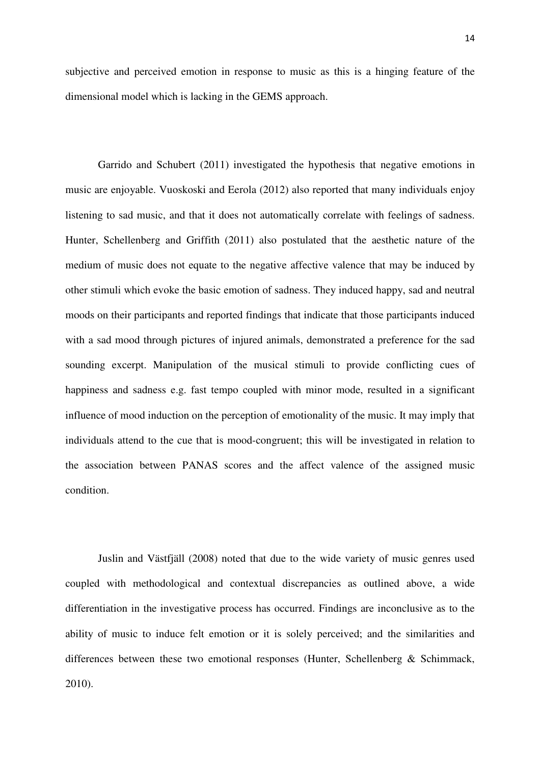subjective and perceived emotion in response to music as this is a hinging feature of the dimensional model which is lacking in the GEMS approach.

Garrido and Schubert (2011) investigated the hypothesis that negative emotions in music are enjoyable. Vuoskoski and Eerola (2012) also reported that many individuals enjoy listening to sad music, and that it does not automatically correlate with feelings of sadness. Hunter, Schellenberg and Griffith (2011) also postulated that the aesthetic nature of the medium of music does not equate to the negative affective valence that may be induced by other stimuli which evoke the basic emotion of sadness. They induced happy, sad and neutral moods on their participants and reported findings that indicate that those participants induced with a sad mood through pictures of injured animals, demonstrated a preference for the sad sounding excerpt. Manipulation of the musical stimuli to provide conflicting cues of happiness and sadness e.g. fast tempo coupled with minor mode, resulted in a significant influence of mood induction on the perception of emotionality of the music. It may imply that individuals attend to the cue that is mood-congruent; this will be investigated in relation to the association between PANAS scores and the affect valence of the assigned music condition.

Juslin and Västfjäll (2008) noted that due to the wide variety of music genres used coupled with methodological and contextual discrepancies as outlined above, a wide differentiation in the investigative process has occurred. Findings are inconclusive as to the ability of music to induce felt emotion or it is solely perceived; and the similarities and differences between these two emotional responses (Hunter, Schellenberg & Schimmack, 2010).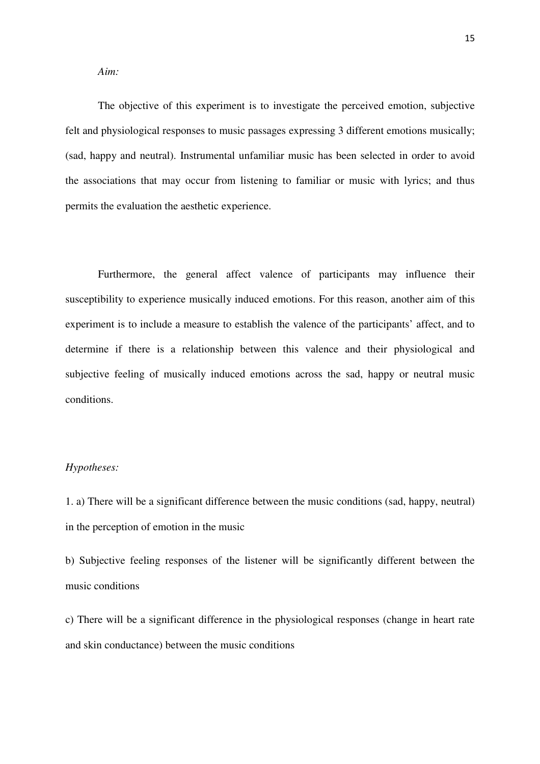*Aim:*

The objective of this experiment is to investigate the perceived emotion, subjective felt and physiological responses to music passages expressing 3 different emotions musically; (sad, happy and neutral). Instrumental unfamiliar music has been selected in order to avoid the associations that may occur from listening to familiar or music with lyrics; and thus permits the evaluation the aesthetic experience.

Furthermore, the general affect valence of participants may influence their susceptibility to experience musically induced emotions. For this reason, another aim of this experiment is to include a measure to establish the valence of the participants' affect, and to determine if there is a relationship between this valence and their physiological and subjective feeling of musically induced emotions across the sad, happy or neutral music conditions.

## *Hypotheses:*

1. a) There will be a significant difference between the music conditions (sad, happy, neutral) in the perception of emotion in the music

b) Subjective feeling responses of the listener will be significantly different between the music conditions

c) There will be a significant difference in the physiological responses (change in heart rate and skin conductance) between the music conditions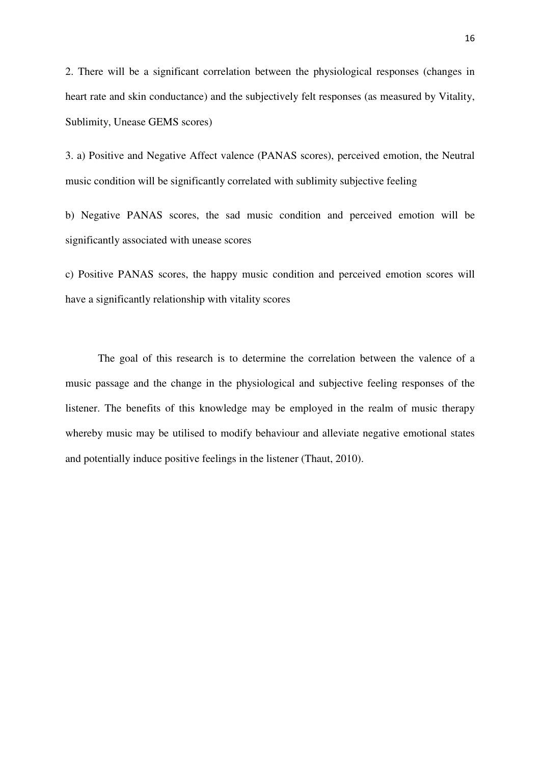2. There will be a significant correlation between the physiological responses (changes in heart rate and skin conductance) and the subjectively felt responses (as measured by Vitality, Sublimity, Unease GEMS scores)

3. a) Positive and Negative Affect valence (PANAS scores), perceived emotion, the Neutral music condition will be significantly correlated with sublimity subjective feeling

b) Negative PANAS scores, the sad music condition and perceived emotion will be significantly associated with unease scores

c) Positive PANAS scores, the happy music condition and perceived emotion scores will have a significantly relationship with vitality scores

The goal of this research is to determine the correlation between the valence of a music passage and the change in the physiological and subjective feeling responses of the listener. The benefits of this knowledge may be employed in the realm of music therapy whereby music may be utilised to modify behaviour and alleviate negative emotional states and potentially induce positive feelings in the listener (Thaut, 2010).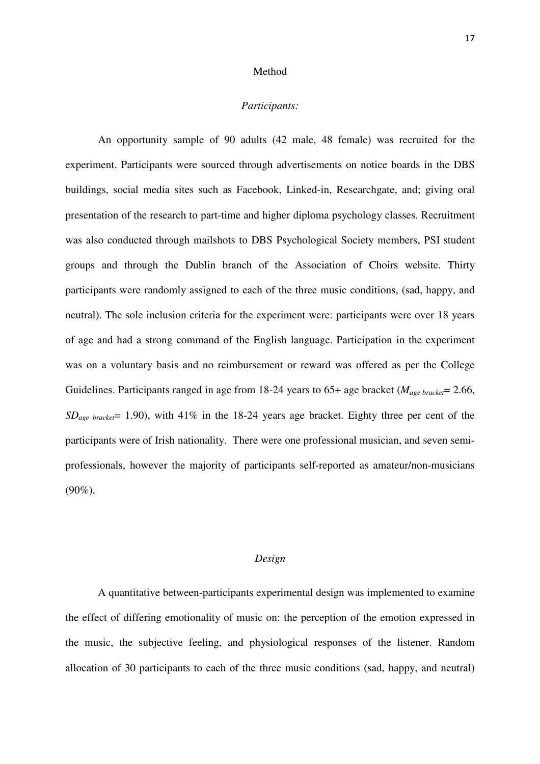#### Method

## *Participants:*

An opportunity sample of 90 adults (42 male, 48 female) was recruited for the experiment. Participants were sourced through advertisements on notice boards in the DBS buildings, social media sites such as Facebook, Linked-in, Researchgate, and; giving oral presentation of the research to part-time and higher diploma psychology classes. Recruitment was also conducted through mailshots to DBS Psychological Society members, PSI student groups and through the Dublin branch of the Association of Choirs website. Thirty participants were randomly assigned to each of the three music conditions, (sad, happy, and neutral). The sole inclusion criteria for the experiment were: participants were over 18 years of age and had a strong command of the English language. Participation in the experiment was on a voluntary basis and no reimbursement or reward was offered as per the College Guidelines. Participants ranged in age from 18-24 years to 65+ age bracket (*Mage bracket*= 2.66, *SDage bracket*= 1.90), with 41% in the 18-24 years age bracket. Eighty three per cent of the participants were of Irish nationality. There were one professional musician, and seven semiprofessionals, however the majority of participants self-reported as amateur/non-musicians  $(90\%).$ 

#### *Design*

A quantitative between-participants experimental design was implemented to examine the effect of differing emotionality of music on: the perception of the emotion expressed in the music, the subjective feeling, and physiological responses of the listener. Random allocation of 30 participants to each of the three music conditions (sad, happy, and neutral)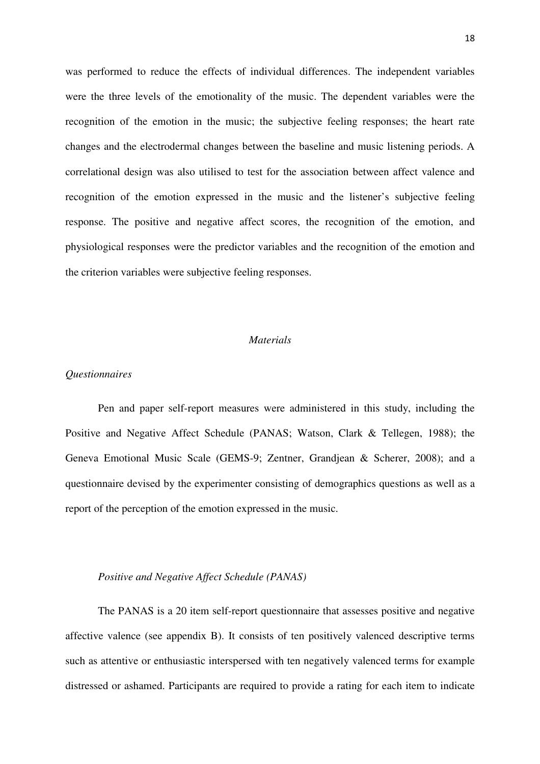was performed to reduce the effects of individual differences. The independent variables were the three levels of the emotionality of the music. The dependent variables were the recognition of the emotion in the music; the subjective feeling responses; the heart rate changes and the electrodermal changes between the baseline and music listening periods. A correlational design was also utilised to test for the association between affect valence and recognition of the emotion expressed in the music and the listener's subjective feeling response. The positive and negative affect scores, the recognition of the emotion, and physiological responses were the predictor variables and the recognition of the emotion and the criterion variables were subjective feeling responses.

### *Materials*

## *Questionnaires*

Pen and paper self-report measures were administered in this study, including the Positive and Negative Affect Schedule (PANAS; Watson, Clark & Tellegen, 1988); the Geneva Emotional Music Scale (GEMS-9; Zentner, Grandjean & Scherer, 2008); and a questionnaire devised by the experimenter consisting of demographics questions as well as a report of the perception of the emotion expressed in the music.

#### *Positive and Negative Affect Schedule (PANAS)*

The PANAS is a 20 item self-report questionnaire that assesses positive and negative affective valence (see appendix B). It consists of ten positively valenced descriptive terms such as attentive or enthusiastic interspersed with ten negatively valenced terms for example distressed or ashamed. Participants are required to provide a rating for each item to indicate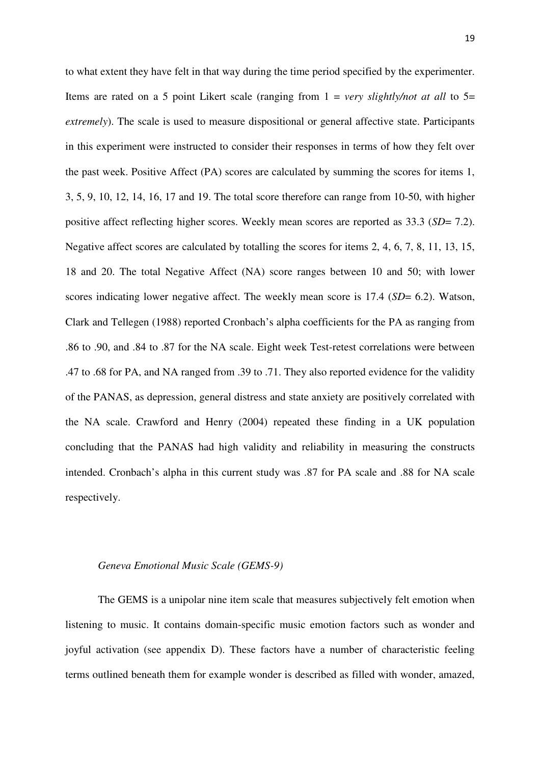to what extent they have felt in that way during the time period specified by the experimenter. Items are rated on a 5 point Likert scale (ranging from 1 = *very slightly/not at all* to 5= *extremely*). The scale is used to measure dispositional or general affective state. Participants in this experiment were instructed to consider their responses in terms of how they felt over the past week. Positive Affect (PA) scores are calculated by summing the scores for items 1, 3, 5, 9, 10, 12, 14, 16, 17 and 19. The total score therefore can range from 10-50, with higher positive affect reflecting higher scores. Weekly mean scores are reported as 33.3 (*SD*= 7.2). Negative affect scores are calculated by totalling the scores for items 2, 4, 6, 7, 8, 11, 13, 15, 18 and 20. The total Negative Affect (NA) score ranges between 10 and 50; with lower scores indicating lower negative affect. The weekly mean score is 17.4 (*SD*= 6.2). Watson, Clark and Tellegen (1988) reported Cronbach's alpha coefficients for the PA as ranging from .86 to .90, and .84 to .87 for the NA scale. Eight week Test-retest correlations were between .47 to .68 for PA, and NA ranged from .39 to .71. They also reported evidence for the validity of the PANAS, as depression, general distress and state anxiety are positively correlated with the NA scale. Crawford and Henry (2004) repeated these finding in a UK population concluding that the PANAS had high validity and reliability in measuring the constructs intended. Cronbach's alpha in this current study was .87 for PA scale and .88 for NA scale respectively.

#### *Geneva Emotional Music Scale (GEMS-9)*

The GEMS is a unipolar nine item scale that measures subjectively felt emotion when listening to music. It contains domain-specific music emotion factors such as wonder and joyful activation (see appendix D). These factors have a number of characteristic feeling terms outlined beneath them for example wonder is described as filled with wonder, amazed,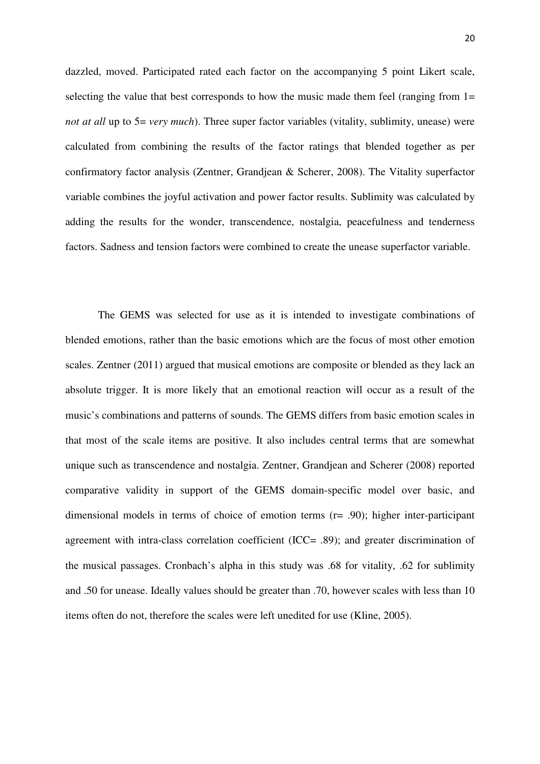dazzled, moved. Participated rated each factor on the accompanying 5 point Likert scale, selecting the value that best corresponds to how the music made them feel (ranging from  $1=$ *not at all* up to 5= *very much*). Three super factor variables (vitality, sublimity, unease) were calculated from combining the results of the factor ratings that blended together as per confirmatory factor analysis (Zentner, Grandjean & Scherer, 2008). The Vitality superfactor variable combines the joyful activation and power factor results. Sublimity was calculated by adding the results for the wonder, transcendence, nostalgia, peacefulness and tenderness factors. Sadness and tension factors were combined to create the unease superfactor variable.

The GEMS was selected for use as it is intended to investigate combinations of blended emotions, rather than the basic emotions which are the focus of most other emotion scales. Zentner (2011) argued that musical emotions are composite or blended as they lack an absolute trigger. It is more likely that an emotional reaction will occur as a result of the music's combinations and patterns of sounds. The GEMS differs from basic emotion scales in that most of the scale items are positive. It also includes central terms that are somewhat unique such as transcendence and nostalgia. Zentner, Grandjean and Scherer (2008) reported comparative validity in support of the GEMS domain-specific model over basic, and dimensional models in terms of choice of emotion terms (r= .90); higher inter-participant agreement with intra-class correlation coefficient (ICC= .89); and greater discrimination of the musical passages. Cronbach's alpha in this study was .68 for vitality, .62 for sublimity and .50 for unease. Ideally values should be greater than .70, however scales with less than 10 items often do not, therefore the scales were left unedited for use (Kline, 2005).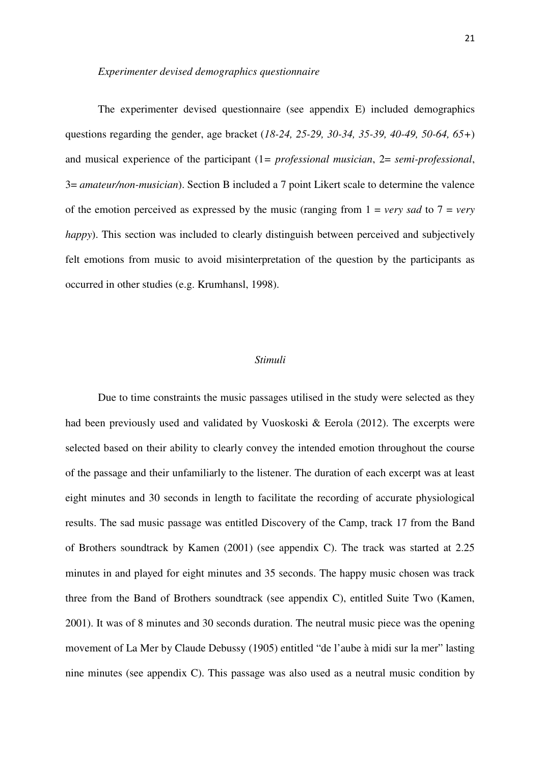#### *Experimenter devised demographics questionnaire*

The experimenter devised questionnaire (see appendix E) included demographics questions regarding the gender, age bracket (*18-24, 25-29, 30-34, 35-39, 40-49, 50-64, 65+*) and musical experience of the participant (1*= professional musician*, 2= *semi-professional*, 3= *amateur/non-musician*). Section B included a 7 point Likert scale to determine the valence of the emotion perceived as expressed by the music (ranging from  $1 = \text{very}$  *sad* to  $7 = \text{very}$ *happy*). This section was included to clearly distinguish between perceived and subjectively felt emotions from music to avoid misinterpretation of the question by the participants as occurred in other studies (e.g. Krumhansl, 1998).

#### *Stimuli*

Due to time constraints the music passages utilised in the study were selected as they had been previously used and validated by Vuoskoski & Eerola (2012). The excerpts were selected based on their ability to clearly convey the intended emotion throughout the course of the passage and their unfamiliarly to the listener. The duration of each excerpt was at least eight minutes and 30 seconds in length to facilitate the recording of accurate physiological results. The sad music passage was entitled Discovery of the Camp, track 17 from the Band of Brothers soundtrack by Kamen (2001) (see appendix C). The track was started at 2.25 minutes in and played for eight minutes and 35 seconds. The happy music chosen was track three from the Band of Brothers soundtrack (see appendix C), entitled Suite Two (Kamen, 2001). It was of 8 minutes and 30 seconds duration. The neutral music piece was the opening movement of La Mer by Claude Debussy (1905) entitled "de l'aube à midi sur la mer" lasting nine minutes (see appendix C). This passage was also used as a neutral music condition by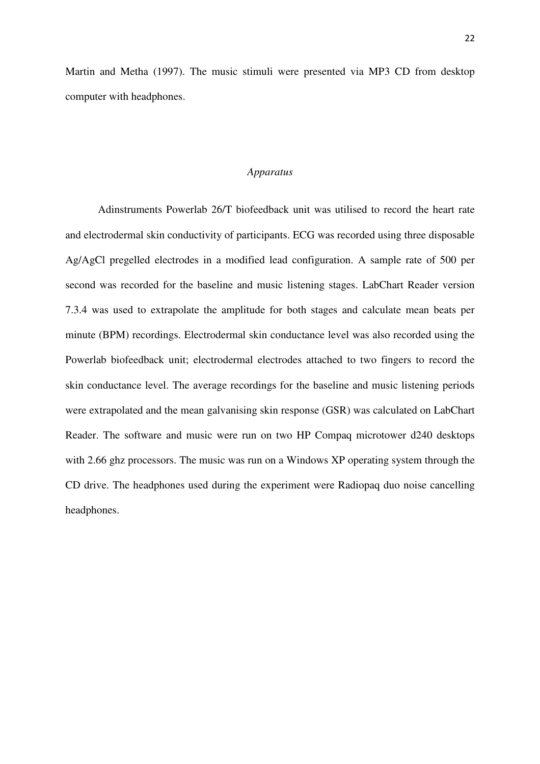Martin and Metha (1997). The music stimuli were presented via MP3 CD from desktop computer with headphones.

#### *Apparatus*

Adinstruments Powerlab 26/T biofeedback unit was utilised to record the heart rate and electrodermal skin conductivity of participants. ECG was recorded using three disposable Ag/AgCl pregelled electrodes in a modified lead configuration. A sample rate of 500 per second was recorded for the baseline and music listening stages. LabChart Reader version 7.3.4 was used to extrapolate the amplitude for both stages and calculate mean beats per minute (BPM) recordings. Electrodermal skin conductance level was also recorded using the Powerlab biofeedback unit; electrodermal electrodes attached to two fingers to record the skin conductance level. The average recordings for the baseline and music listening periods were extrapolated and the mean galvanising skin response (GSR) was calculated on LabChart Reader. The software and music were run on two HP Compaq microtower d240 desktops with 2.66 ghz processors. The music was run on a Windows XP operating system through the CD drive. The headphones used during the experiment were Radiopaq duo noise cancelling headphones.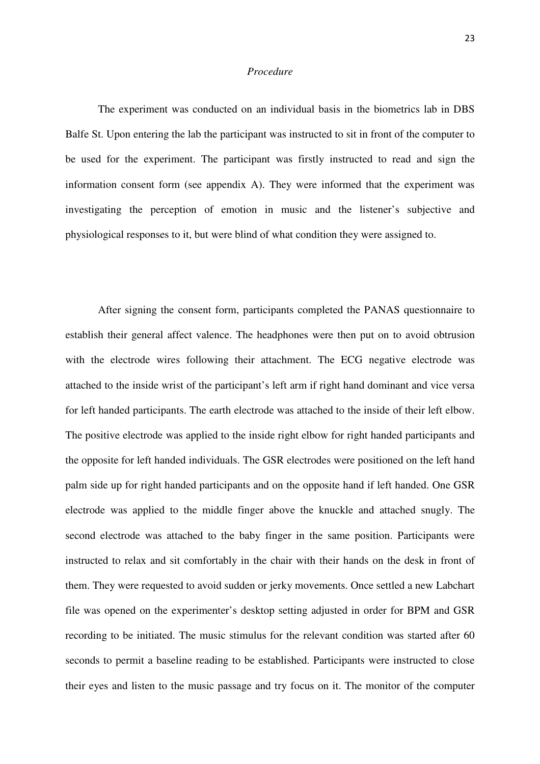#### *Procedure*

The experiment was conducted on an individual basis in the biometrics lab in DBS Balfe St. Upon entering the lab the participant was instructed to sit in front of the computer to be used for the experiment. The participant was firstly instructed to read and sign the information consent form (see appendix A). They were informed that the experiment was investigating the perception of emotion in music and the listener's subjective and physiological responses to it, but were blind of what condition they were assigned to.

After signing the consent form, participants completed the PANAS questionnaire to establish their general affect valence. The headphones were then put on to avoid obtrusion with the electrode wires following their attachment. The ECG negative electrode was attached to the inside wrist of the participant's left arm if right hand dominant and vice versa for left handed participants. The earth electrode was attached to the inside of their left elbow. The positive electrode was applied to the inside right elbow for right handed participants and the opposite for left handed individuals. The GSR electrodes were positioned on the left hand palm side up for right handed participants and on the opposite hand if left handed. One GSR electrode was applied to the middle finger above the knuckle and attached snugly. The second electrode was attached to the baby finger in the same position. Participants were instructed to relax and sit comfortably in the chair with their hands on the desk in front of them. They were requested to avoid sudden or jerky movements. Once settled a new Labchart file was opened on the experimenter's desktop setting adjusted in order for BPM and GSR recording to be initiated. The music stimulus for the relevant condition was started after 60 seconds to permit a baseline reading to be established. Participants were instructed to close their eyes and listen to the music passage and try focus on it. The monitor of the computer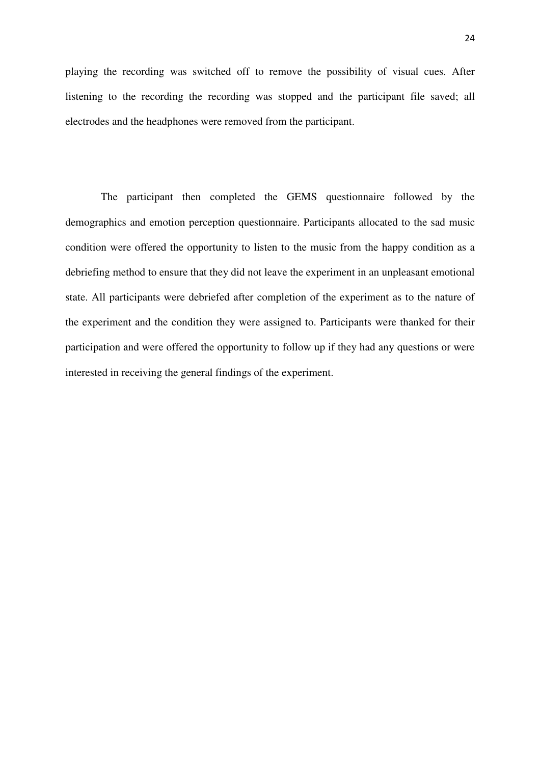playing the recording was switched off to remove the possibility of visual cues. After listening to the recording the recording was stopped and the participant file saved; all electrodes and the headphones were removed from the participant.

 The participant then completed the GEMS questionnaire followed by the demographics and emotion perception questionnaire. Participants allocated to the sad music condition were offered the opportunity to listen to the music from the happy condition as a debriefing method to ensure that they did not leave the experiment in an unpleasant emotional state. All participants were debriefed after completion of the experiment as to the nature of the experiment and the condition they were assigned to. Participants were thanked for their participation and were offered the opportunity to follow up if they had any questions or were interested in receiving the general findings of the experiment.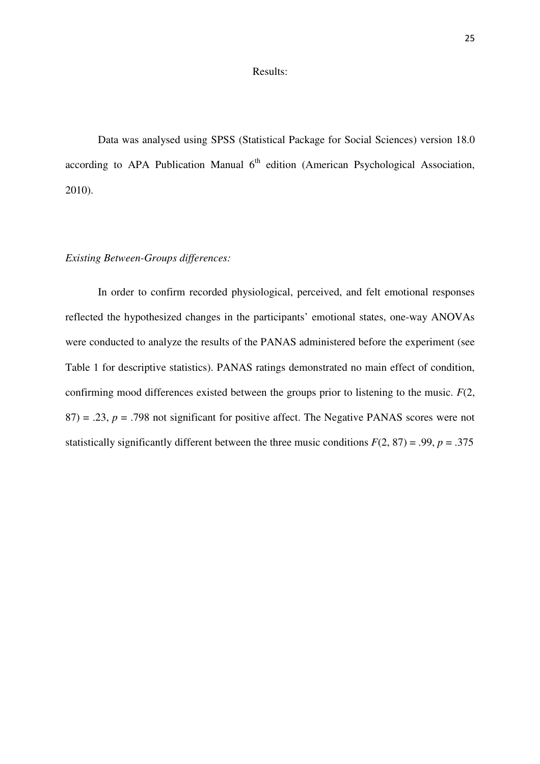### Results:

Data was analysed using SPSS (Statistical Package for Social Sciences) version 18.0 according to APA Publication Manual  $6<sup>th</sup>$  edition (American Psychological Association, 2010).

## *Existing Between-Groups differences:*

In order to confirm recorded physiological, perceived, and felt emotional responses reflected the hypothesized changes in the participants' emotional states, one-way ANOVAs were conducted to analyze the results of the PANAS administered before the experiment (see Table 1 for descriptive statistics). PANAS ratings demonstrated no main effect of condition, confirming mood differences existed between the groups prior to listening to the music. *F*(2,  $87$ ) = .23, *p* = .798 not significant for positive affect. The Negative PANAS scores were not statistically significantly different between the three music conditions  $F(2, 87) = .99$ ,  $p = .375$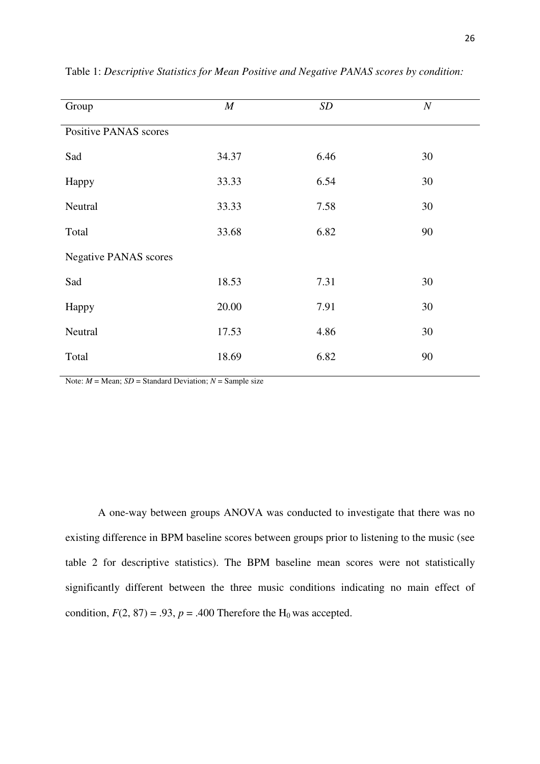| Group                        | $\boldsymbol{M}$ | SD   | $\cal N$ |
|------------------------------|------------------|------|----------|
| <b>Positive PANAS scores</b> |                  |      |          |
| Sad                          | 34.37            | 6.46 | 30       |
| Happy                        | 33.33            | 6.54 | 30       |
| Neutral                      | 33.33            | 7.58 | 30       |
| Total                        | 33.68            | 6.82 | 90       |
| <b>Negative PANAS</b> scores |                  |      |          |
| Sad                          | 18.53            | 7.31 | 30       |
| Happy                        | 20.00            | 7.91 | 30       |
| Neutral                      | 17.53            | 4.86 | 30       |
| Total                        | 18.69            | 6.82 | 90       |
|                              |                  |      |          |

Table 1: *Descriptive Statistics for Mean Positive and Negative PANAS scores by condition:*

Note: *M* = Mean; *SD* = Standard Deviation; *N* = Sample size

A one-way between groups ANOVA was conducted to investigate that there was no existing difference in BPM baseline scores between groups prior to listening to the music (see table 2 for descriptive statistics). The BPM baseline mean scores were not statistically significantly different between the three music conditions indicating no main effect of condition,  $F(2, 87) = .93$ ,  $p = .400$  Therefore the H<sub>0</sub> was accepted.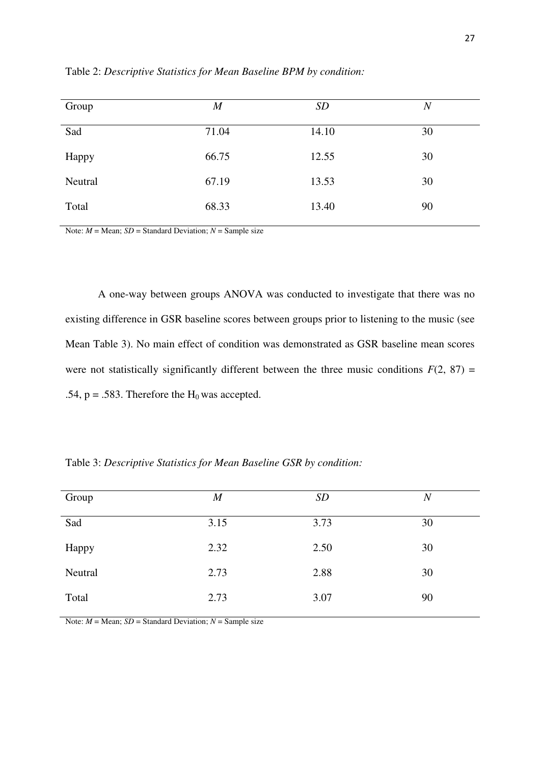| Group   | $\boldsymbol{M}$ | <b>SD</b> | $\boldsymbol{N}$ |
|---------|------------------|-----------|------------------|
| Sad     | 71.04            | 14.10     | 30               |
| Happy   | 66.75            | 12.55     | 30               |
| Neutral | 67.19            | 13.53     | 30               |
| Total   | 68.33            | 13.40     | 90               |
|         |                  |           |                  |

Table 2: *Descriptive Statistics for Mean Baseline BPM by condition:*

Note: *M* = Mean; *SD* = Standard Deviation; *N* = Sample size

A one-way between groups ANOVA was conducted to investigate that there was no existing difference in GSR baseline scores between groups prior to listening to the music (see Mean Table 3). No main effect of condition was demonstrated as GSR baseline mean scores were not statistically significantly different between the three music conditions  $F(2, 87) =$ .54,  $p = .583$ . Therefore the H<sub>0</sub> was accepted.

Table 3: *Descriptive Statistics for Mean Baseline GSR by condition:* 

| Group   | $\boldsymbol{M}$ | <b>SD</b> | $\boldsymbol{N}$ |
|---------|------------------|-----------|------------------|
| Sad     | 3.15             | 3.73      | 30               |
| Happy   | 2.32             | 2.50      | 30               |
| Neutral | 2.73             | 2.88      | 30               |
| Total   | 2.73             | 3.07      | 90               |

Note:  $M = \text{Mean}$ ;  $SD = \text{Standard Deviation}$ ;  $N = \text{Sample size}$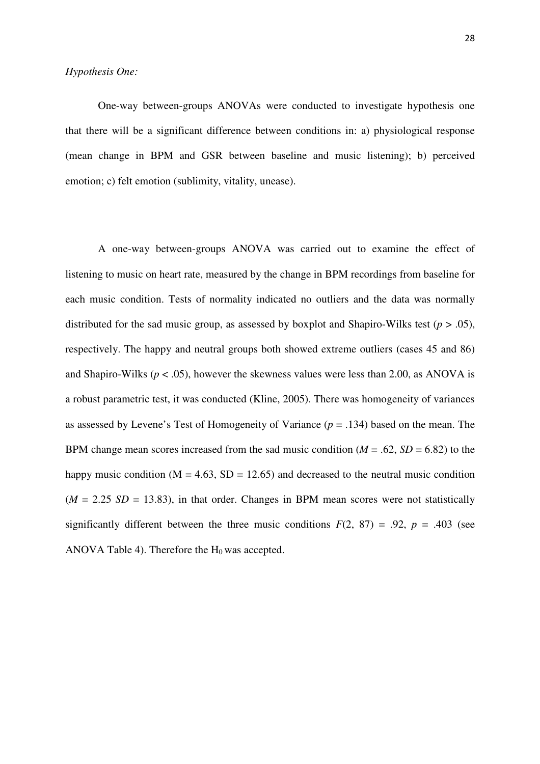## *Hypothesis One:*

One-way between-groups ANOVAs were conducted to investigate hypothesis one that there will be a significant difference between conditions in: a) physiological response (mean change in BPM and GSR between baseline and music listening); b) perceived emotion; c) felt emotion (sublimity, vitality, unease).

A one-way between-groups ANOVA was carried out to examine the effect of listening to music on heart rate, measured by the change in BPM recordings from baseline for each music condition. Tests of normality indicated no outliers and the data was normally distributed for the sad music group, as assessed by boxplot and Shapiro-Wilks test ( $p > .05$ ), respectively. The happy and neutral groups both showed extreme outliers (cases 45 and 86) and Shapiro-Wilks ( $p < .05$ ), however the skewness values were less than 2.00, as ANOVA is a robust parametric test, it was conducted (Kline, 2005). There was homogeneity of variances as assessed by Levene's Test of Homogeneity of Variance (*p* = .134) based on the mean. The BPM change mean scores increased from the sad music condition  $(M = .62, SD = 6.82)$  to the happy music condition ( $M = 4.63$ ,  $SD = 12.65$ ) and decreased to the neutral music condition  $(M = 2.25 S/D = 13.83)$ , in that order. Changes in BPM mean scores were not statistically significantly different between the three music conditions  $F(2, 87) = .92$ ,  $p = .403$  (see ANOVA Table 4). Therefore the  $H_0$  was accepted.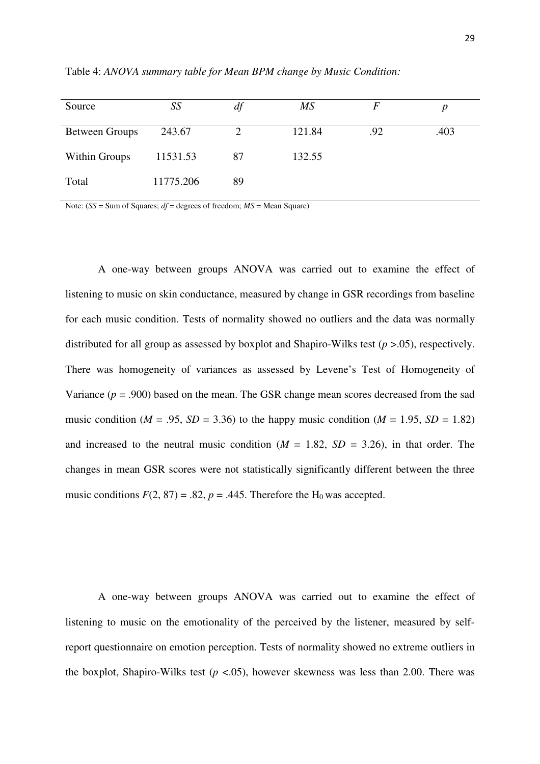| Source                | SS        | df | $\overline{MS}$ | F   |      |
|-----------------------|-----------|----|-----------------|-----|------|
| <b>Between Groups</b> | 243.67    |    | 121.84          | .92 | .403 |
| Within Groups         | 11531.53  | 87 | 132.55          |     |      |
| Total                 | 11775.206 | 89 |                 |     |      |

Table 4: *ANOVA summary table for Mean BPM change by Music Condition:*

Note:  $(SS = Sum of Squares: df = degrees of freedom: MS = Mean Square)$ 

A one-way between groups ANOVA was carried out to examine the effect of listening to music on skin conductance, measured by change in GSR recordings from baseline for each music condition. Tests of normality showed no outliers and the data was normally distributed for all group as assessed by boxplot and Shapiro-Wilks test (*p* >.05), respectively. There was homogeneity of variances as assessed by Levene's Test of Homogeneity of Variance  $(p = .900)$  based on the mean. The GSR change mean scores decreased from the sad music condition ( $M = .95$ ,  $SD = 3.36$ ) to the happy music condition ( $M = 1.95$ ,  $SD = 1.82$ ) and increased to the neutral music condition  $(M = 1.82, SD = 3.26)$ , in that order. The changes in mean GSR scores were not statistically significantly different between the three music conditions  $F(2, 87) = .82$ ,  $p = .445$ . Therefore the H<sub>0</sub> was accepted.

A one-way between groups ANOVA was carried out to examine the effect of listening to music on the emotionality of the perceived by the listener, measured by selfreport questionnaire on emotion perception. Tests of normality showed no extreme outliers in the boxplot, Shapiro-Wilks test  $(p < .05)$ , however skewness was less than 2.00. There was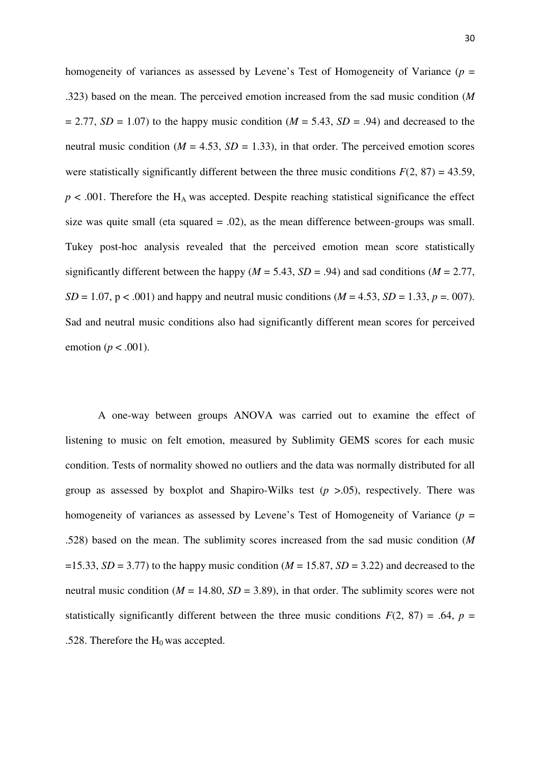homogeneity of variances as assessed by Levene's Test of Homogeneity of Variance (*p* = .323) based on the mean. The perceived emotion increased from the sad music condition (*M*   $= 2.77$ , *SD* = 1.07) to the happy music condition (*M* = 5.43, *SD* = .94) and decreased to the neutral music condition ( $M = 4.53$ ,  $SD = 1.33$ ), in that order. The perceived emotion scores were statistically significantly different between the three music conditions  $F(2, 87) = 43.59$ ,  $p < .001$ . Therefore the H<sub>A</sub> was accepted. Despite reaching statistical significance the effect size was quite small (eta squared  $= .02$ ), as the mean difference between-groups was small. Tukey post-hoc analysis revealed that the perceived emotion mean score statistically significantly different between the happy ( $M = 5.43$ ,  $SD = .94$ ) and sad conditions ( $M = 2.77$ , *SD* = 1.07, p < .001) and happy and neutral music conditions ( $M = 4.53$ ,  $SD = 1.33$ ,  $p = .007$ ). Sad and neutral music conditions also had significantly different mean scores for perceived emotion (*p* < .001).

A one-way between groups ANOVA was carried out to examine the effect of listening to music on felt emotion, measured by Sublimity GEMS scores for each music condition. Tests of normality showed no outliers and the data was normally distributed for all group as assessed by boxplot and Shapiro-Wilks test  $(p > .05)$ , respectively. There was homogeneity of variances as assessed by Levene's Test of Homogeneity of Variance (*p* = .528) based on the mean. The sublimity scores increased from the sad music condition (*M*   $=15.33$ , *SD* = 3.77) to the happy music condition (*M* = 15.87, *SD* = 3.22) and decreased to the neutral music condition ( $M = 14.80$ ,  $SD = 3.89$ ), in that order. The sublimity scores were not statistically significantly different between the three music conditions  $F(2, 87) = .64$ ,  $p =$ .528. Therefore the  $H_0$  was accepted.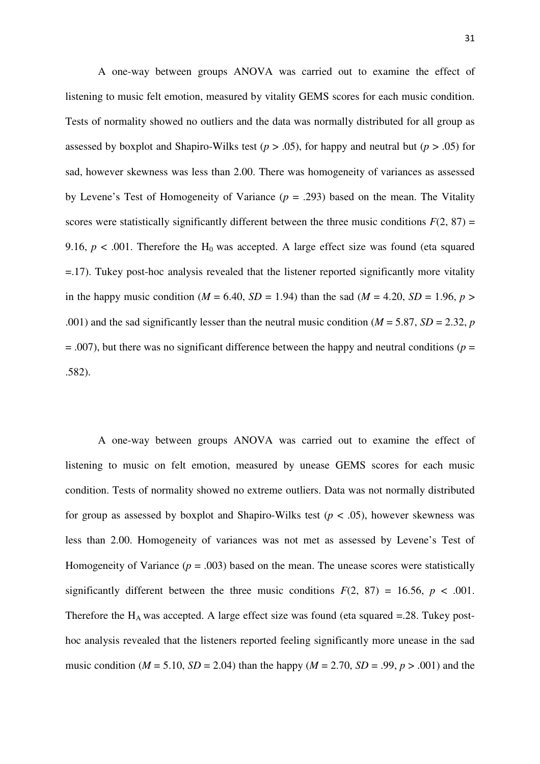A one-way between groups ANOVA was carried out to examine the effect of listening to music felt emotion, measured by vitality GEMS scores for each music condition. Tests of normality showed no outliers and the data was normally distributed for all group as assessed by boxplot and Shapiro-Wilks test ( $p > .05$ ), for happy and neutral but ( $p > .05$ ) for sad, however skewness was less than 2.00. There was homogeneity of variances as assessed by Levene's Test of Homogeneity of Variance (*p* = .293) based on the mean. The Vitality scores were statistically significantly different between the three music conditions  $F(2, 87) =$ 9.16,  $p < .001$ . Therefore the H<sub>0</sub> was accepted. A large effect size was found (eta squared =.17). Tukey post-hoc analysis revealed that the listener reported significantly more vitality in the happy music condition ( $M = 6.40$ ,  $SD = 1.94$ ) than the sad ( $M = 4.20$ ,  $SD = 1.96$ ,  $p >$ .001) and the sad significantly lesser than the neutral music condition ( $M = 5.87$ ,  $SD = 2.32$ , *p*  $= .007$ ), but there was no significant difference between the happy and neutral conditions ( $p =$ .582).

A one-way between groups ANOVA was carried out to examine the effect of listening to music on felt emotion, measured by unease GEMS scores for each music condition. Tests of normality showed no extreme outliers. Data was not normally distributed for group as assessed by boxplot and Shapiro-Wilks test ( $p < .05$ ), however skewness was less than 2.00. Homogeneity of variances was not met as assessed by Levene's Test of Homogeneity of Variance  $(p = .003)$  based on the mean. The unease scores were statistically significantly different between the three music conditions  $F(2, 87) = 16.56$ ,  $p < .001$ . Therefore the  $H_A$  was accepted. A large effect size was found (eta squared =.28. Tukey posthoc analysis revealed that the listeners reported feeling significantly more unease in the sad music condition ( $M = 5.10$ ,  $SD = 2.04$ ) than the happy ( $M = 2.70$ ,  $SD = .99$ ,  $p > .001$ ) and the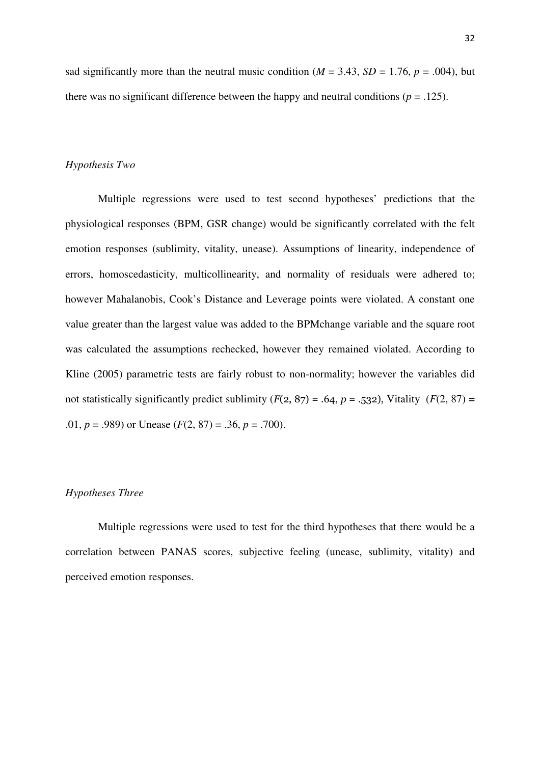sad significantly more than the neutral music condition ( $M = 3.43$ ,  $SD = 1.76$ ,  $p = .004$ ), but there was no significant difference between the happy and neutral conditions ( $p = 0.125$ ).

## *Hypothesis Two*

Multiple regressions were used to test second hypotheses' predictions that the physiological responses (BPM, GSR change) would be significantly correlated with the felt emotion responses (sublimity, vitality, unease). Assumptions of linearity, independence of errors, homoscedasticity, multicollinearity, and normality of residuals were adhered to; however Mahalanobis, Cook's Distance and Leverage points were violated. A constant one value greater than the largest value was added to the BPMchange variable and the square root was calculated the assumptions rechecked, however they remained violated. According to Kline (2005) parametric tests are fairly robust to non-normality; however the variables did not statistically significantly predict sublimity  $(F(2, 87) = .64, p = .532)$ , Vitality  $(F(2, 87) =$ .01,  $p = .989$  or Unease ( $F(2, 87) = .36$ ,  $p = .700$ ).

## *Hypotheses Three*

Multiple regressions were used to test for the third hypotheses that there would be a correlation between PANAS scores, subjective feeling (unease, sublimity, vitality) and perceived emotion responses.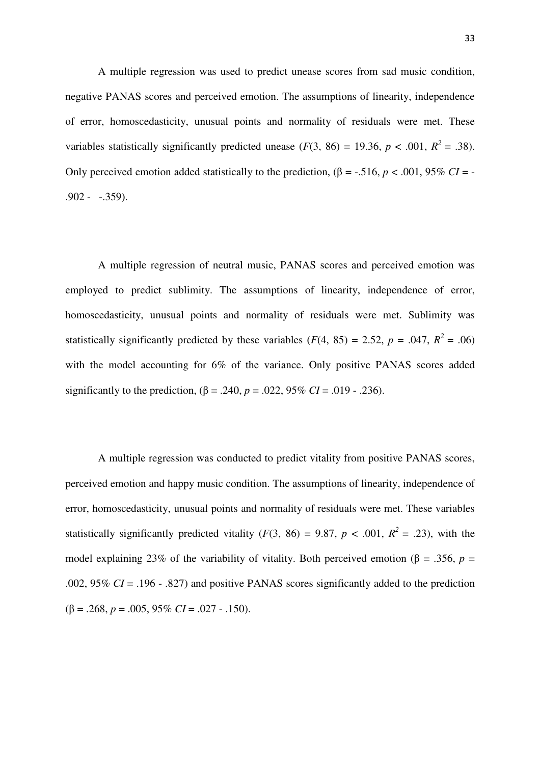A multiple regression was used to predict unease scores from sad music condition, negative PANAS scores and perceived emotion. The assumptions of linearity, independence of error, homoscedasticity, unusual points and normality of residuals were met. These variables statistically significantly predicted unease ( $F(3, 86) = 19.36$ ,  $p < .001$ ,  $R^2 = .38$ ). Only perceived emotion added statistically to the prediction,  $(β = -.516, p < .001, 95% CI = -$ .902 - -.359).

A multiple regression of neutral music, PANAS scores and perceived emotion was employed to predict sublimity. The assumptions of linearity, independence of error, homoscedasticity, unusual points and normality of residuals were met. Sublimity was statistically significantly predicted by these variables  $(F(4, 85) = 2.52, p = .047, R^2 = .06)$ with the model accounting for 6% of the variance. Only positive PANAS scores added significantly to the prediction,  $(\beta = .240, p = .022, 95\% \text{ CI} = .019 - .236)$ .

A multiple regression was conducted to predict vitality from positive PANAS scores, perceived emotion and happy music condition. The assumptions of linearity, independence of error, homoscedasticity, unusual points and normality of residuals were met. These variables statistically significantly predicted vitality ( $F(3, 86) = 9.87$ ,  $p < .001$ ,  $R^2 = .23$ ), with the model explaining 23% of the variability of vitality. Both perceived emotion (β = .356, *p* = .002, 95% *CI* = .196 - .827) and positive PANAS scores significantly added to the prediction  $(\beta = .268, p = .005, 95\% \text{ CI} = .027 - .150).$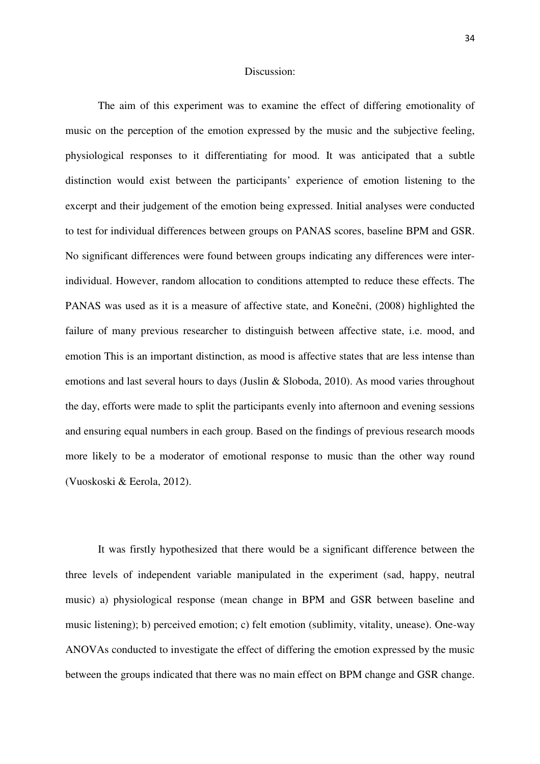## Discussion:

The aim of this experiment was to examine the effect of differing emotionality of music on the perception of the emotion expressed by the music and the subjective feeling, physiological responses to it differentiating for mood. It was anticipated that a subtle distinction would exist between the participants' experience of emotion listening to the excerpt and their judgement of the emotion being expressed. Initial analyses were conducted to test for individual differences between groups on PANAS scores, baseline BPM and GSR. No significant differences were found between groups indicating any differences were interindividual. However, random allocation to conditions attempted to reduce these effects. The PANAS was used as it is a measure of affective state, and Konečni, (2008) highlighted the failure of many previous researcher to distinguish between affective state, i.e. mood, and emotion This is an important distinction, as mood is affective states that are less intense than emotions and last several hours to days (Juslin & Sloboda, 2010). As mood varies throughout the day, efforts were made to split the participants evenly into afternoon and evening sessions and ensuring equal numbers in each group. Based on the findings of previous research moods more likely to be a moderator of emotional response to music than the other way round (Vuoskoski & Eerola, 2012).

It was firstly hypothesized that there would be a significant difference between the three levels of independent variable manipulated in the experiment (sad, happy, neutral music) a) physiological response (mean change in BPM and GSR between baseline and music listening); b) perceived emotion; c) felt emotion (sublimity, vitality, unease). One-way ANOVAs conducted to investigate the effect of differing the emotion expressed by the music between the groups indicated that there was no main effect on BPM change and GSR change.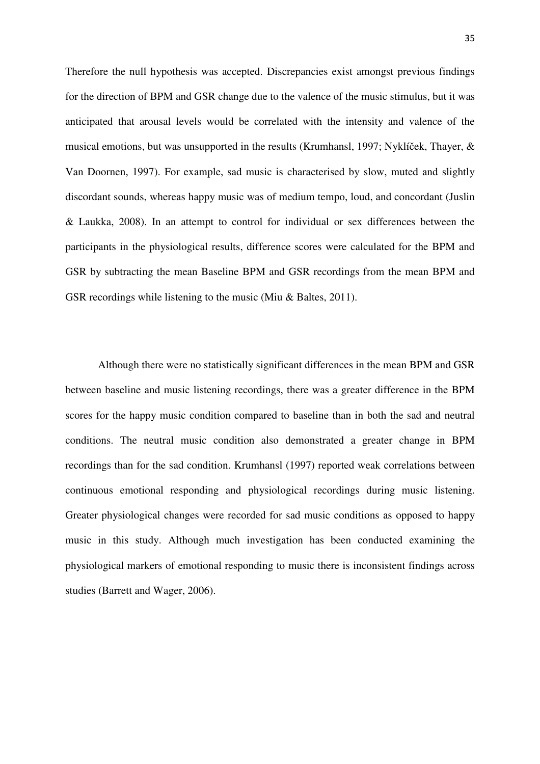Therefore the null hypothesis was accepted. Discrepancies exist amongst previous findings for the direction of BPM and GSR change due to the valence of the music stimulus, but it was anticipated that arousal levels would be correlated with the intensity and valence of the musical emotions, but was unsupported in the results (Krumhansl, 1997; Nyklíček, Thayer, & Van Doornen, 1997). For example, sad music is characterised by slow, muted and slightly discordant sounds, whereas happy music was of medium tempo, loud, and concordant (Juslin & Laukka, 2008). In an attempt to control for individual or sex differences between the participants in the physiological results, difference scores were calculated for the BPM and GSR by subtracting the mean Baseline BPM and GSR recordings from the mean BPM and GSR recordings while listening to the music (Miu & Baltes, 2011).

Although there were no statistically significant differences in the mean BPM and GSR between baseline and music listening recordings, there was a greater difference in the BPM scores for the happy music condition compared to baseline than in both the sad and neutral conditions. The neutral music condition also demonstrated a greater change in BPM recordings than for the sad condition. Krumhansl (1997) reported weak correlations between continuous emotional responding and physiological recordings during music listening. Greater physiological changes were recorded for sad music conditions as opposed to happy music in this study. Although much investigation has been conducted examining the physiological markers of emotional responding to music there is inconsistent findings across studies (Barrett and Wager, 2006).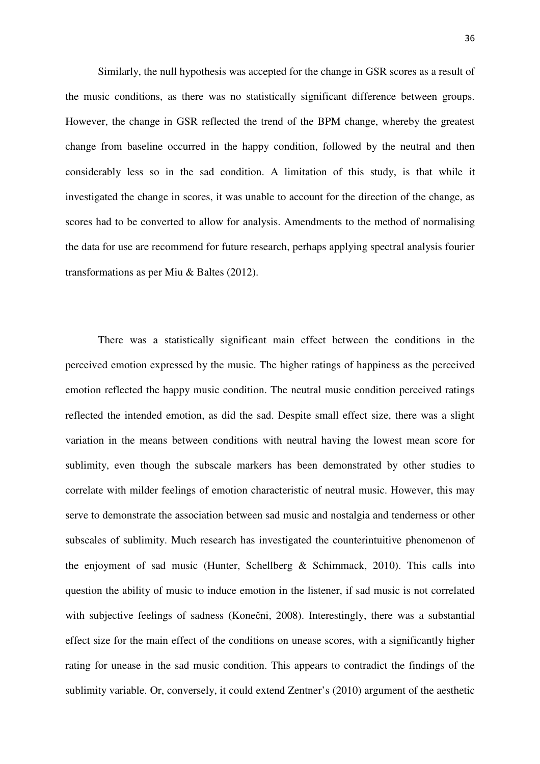Similarly, the null hypothesis was accepted for the change in GSR scores as a result of the music conditions, as there was no statistically significant difference between groups. However, the change in GSR reflected the trend of the BPM change, whereby the greatest change from baseline occurred in the happy condition, followed by the neutral and then considerably less so in the sad condition. A limitation of this study, is that while it investigated the change in scores, it was unable to account for the direction of the change, as scores had to be converted to allow for analysis. Amendments to the method of normalising the data for use are recommend for future research, perhaps applying spectral analysis fourier transformations as per Miu & Baltes (2012).

There was a statistically significant main effect between the conditions in the perceived emotion expressed by the music. The higher ratings of happiness as the perceived emotion reflected the happy music condition. The neutral music condition perceived ratings reflected the intended emotion, as did the sad. Despite small effect size, there was a slight variation in the means between conditions with neutral having the lowest mean score for sublimity, even though the subscale markers has been demonstrated by other studies to correlate with milder feelings of emotion characteristic of neutral music. However, this may serve to demonstrate the association between sad music and nostalgia and tenderness or other subscales of sublimity. Much research has investigated the counterintuitive phenomenon of the enjoyment of sad music (Hunter, Schellberg & Schimmack, 2010). This calls into question the ability of music to induce emotion in the listener, if sad music is not correlated with subjective feelings of sadness (Konečni, 2008). Interestingly, there was a substantial effect size for the main effect of the conditions on unease scores, with a significantly higher rating for unease in the sad music condition. This appears to contradict the findings of the sublimity variable. Or, conversely, it could extend Zentner's (2010) argument of the aesthetic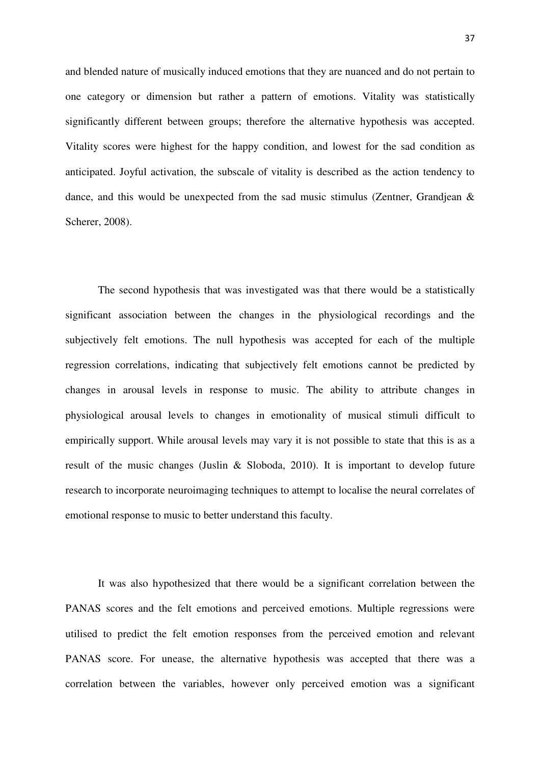and blended nature of musically induced emotions that they are nuanced and do not pertain to one category or dimension but rather a pattern of emotions. Vitality was statistically significantly different between groups; therefore the alternative hypothesis was accepted. Vitality scores were highest for the happy condition, and lowest for the sad condition as anticipated. Joyful activation, the subscale of vitality is described as the action tendency to dance, and this would be unexpected from the sad music stimulus (Zentner, Grandjean & Scherer, 2008).

The second hypothesis that was investigated was that there would be a statistically significant association between the changes in the physiological recordings and the subjectively felt emotions. The null hypothesis was accepted for each of the multiple regression correlations, indicating that subjectively felt emotions cannot be predicted by changes in arousal levels in response to music. The ability to attribute changes in physiological arousal levels to changes in emotionality of musical stimuli difficult to empirically support. While arousal levels may vary it is not possible to state that this is as a result of the music changes (Juslin & Sloboda, 2010). It is important to develop future research to incorporate neuroimaging techniques to attempt to localise the neural correlates of emotional response to music to better understand this faculty.

It was also hypothesized that there would be a significant correlation between the PANAS scores and the felt emotions and perceived emotions. Multiple regressions were utilised to predict the felt emotion responses from the perceived emotion and relevant PANAS score. For unease, the alternative hypothesis was accepted that there was a correlation between the variables, however only perceived emotion was a significant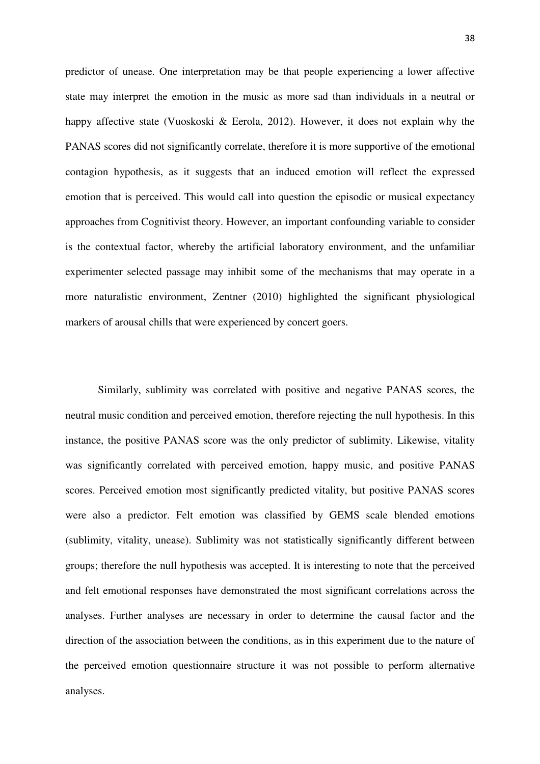predictor of unease. One interpretation may be that people experiencing a lower affective state may interpret the emotion in the music as more sad than individuals in a neutral or happy affective state (Vuoskoski & Eerola, 2012). However, it does not explain why the PANAS scores did not significantly correlate, therefore it is more supportive of the emotional contagion hypothesis, as it suggests that an induced emotion will reflect the expressed emotion that is perceived. This would call into question the episodic or musical expectancy approaches from Cognitivist theory. However, an important confounding variable to consider is the contextual factor, whereby the artificial laboratory environment, and the unfamiliar experimenter selected passage may inhibit some of the mechanisms that may operate in a more naturalistic environment, Zentner (2010) highlighted the significant physiological markers of arousal chills that were experienced by concert goers.

Similarly, sublimity was correlated with positive and negative PANAS scores, the neutral music condition and perceived emotion, therefore rejecting the null hypothesis. In this instance, the positive PANAS score was the only predictor of sublimity. Likewise, vitality was significantly correlated with perceived emotion, happy music, and positive PANAS scores. Perceived emotion most significantly predicted vitality, but positive PANAS scores were also a predictor. Felt emotion was classified by GEMS scale blended emotions (sublimity, vitality, unease). Sublimity was not statistically significantly different between groups; therefore the null hypothesis was accepted. It is interesting to note that the perceived and felt emotional responses have demonstrated the most significant correlations across the analyses. Further analyses are necessary in order to determine the causal factor and the direction of the association between the conditions, as in this experiment due to the nature of the perceived emotion questionnaire structure it was not possible to perform alternative analyses.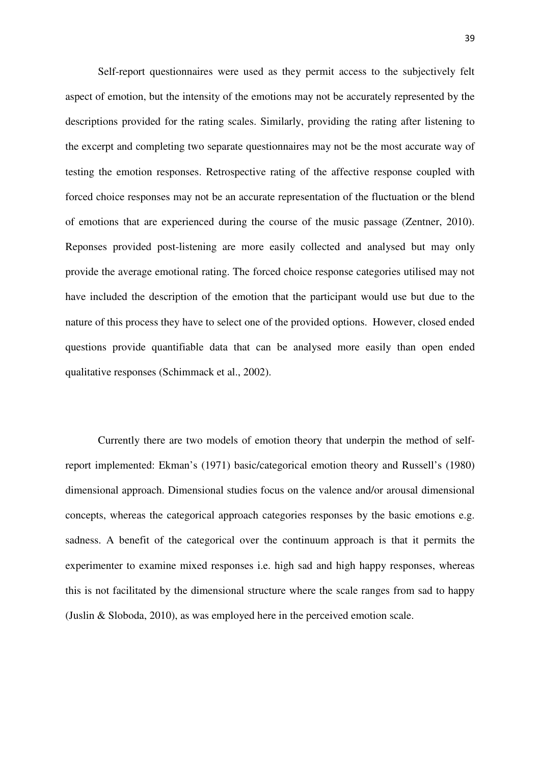Self-report questionnaires were used as they permit access to the subjectively felt aspect of emotion, but the intensity of the emotions may not be accurately represented by the descriptions provided for the rating scales. Similarly, providing the rating after listening to the excerpt and completing two separate questionnaires may not be the most accurate way of testing the emotion responses. Retrospective rating of the affective response coupled with forced choice responses may not be an accurate representation of the fluctuation or the blend of emotions that are experienced during the course of the music passage (Zentner, 2010). Reponses provided post-listening are more easily collected and analysed but may only provide the average emotional rating. The forced choice response categories utilised may not have included the description of the emotion that the participant would use but due to the nature of this process they have to select one of the provided options. However, closed ended questions provide quantifiable data that can be analysed more easily than open ended qualitative responses (Schimmack et al., 2002).

Currently there are two models of emotion theory that underpin the method of selfreport implemented: Ekman's (1971) basic/categorical emotion theory and Russell's (1980) dimensional approach. Dimensional studies focus on the valence and/or arousal dimensional concepts, whereas the categorical approach categories responses by the basic emotions e.g. sadness. A benefit of the categorical over the continuum approach is that it permits the experimenter to examine mixed responses i.e. high sad and high happy responses, whereas this is not facilitated by the dimensional structure where the scale ranges from sad to happy (Juslin & Sloboda, 2010), as was employed here in the perceived emotion scale.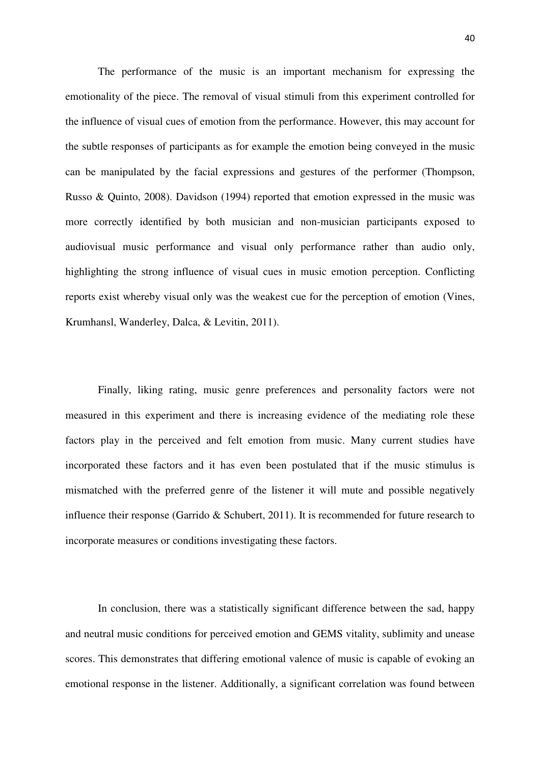The performance of the music is an important mechanism for expressing the emotionality of the piece. The removal of visual stimuli from this experiment controlled for the influence of visual cues of emotion from the performance. However, this may account for the subtle responses of participants as for example the emotion being conveyed in the music can be manipulated by the facial expressions and gestures of the performer (Thompson, Russo & Quinto, 2008). Davidson (1994) reported that emotion expressed in the music was more correctly identified by both musician and non-musician participants exposed to audiovisual music performance and visual only performance rather than audio only, highlighting the strong influence of visual cues in music emotion perception. Conflicting reports exist whereby visual only was the weakest cue for the perception of emotion (Vines, Krumhansl, Wanderley, Dalca, & Levitin, 2011).

 Finally, liking rating, music genre preferences and personality factors were not measured in this experiment and there is increasing evidence of the mediating role these factors play in the perceived and felt emotion from music. Many current studies have incorporated these factors and it has even been postulated that if the music stimulus is mismatched with the preferred genre of the listener it will mute and possible negatively influence their response (Garrido & Schubert, 2011). It is recommended for future research to incorporate measures or conditions investigating these factors.

In conclusion, there was a statistically significant difference between the sad, happy and neutral music conditions for perceived emotion and GEMS vitality, sublimity and unease scores. This demonstrates that differing emotional valence of music is capable of evoking an emotional response in the listener. Additionally, a significant correlation was found between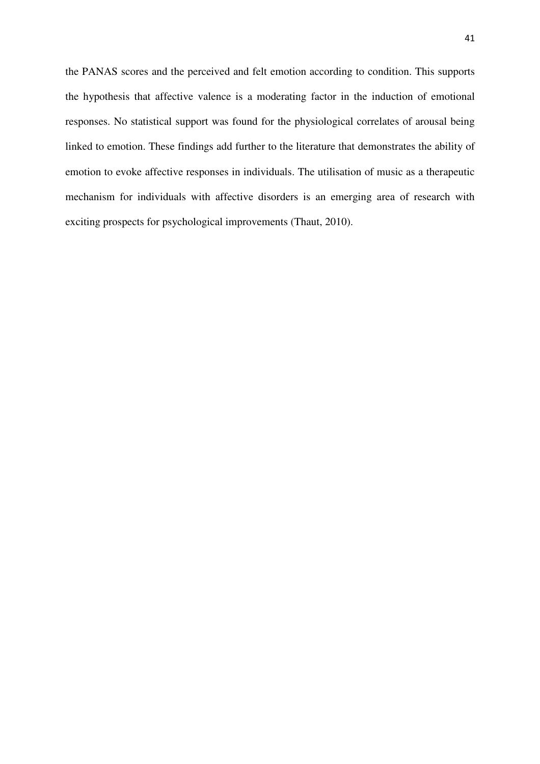the PANAS scores and the perceived and felt emotion according to condition. This supports the hypothesis that affective valence is a moderating factor in the induction of emotional responses. No statistical support was found for the physiological correlates of arousal being linked to emotion. These findings add further to the literature that demonstrates the ability of emotion to evoke affective responses in individuals. The utilisation of music as a therapeutic mechanism for individuals with affective disorders is an emerging area of research with exciting prospects for psychological improvements (Thaut, 2010).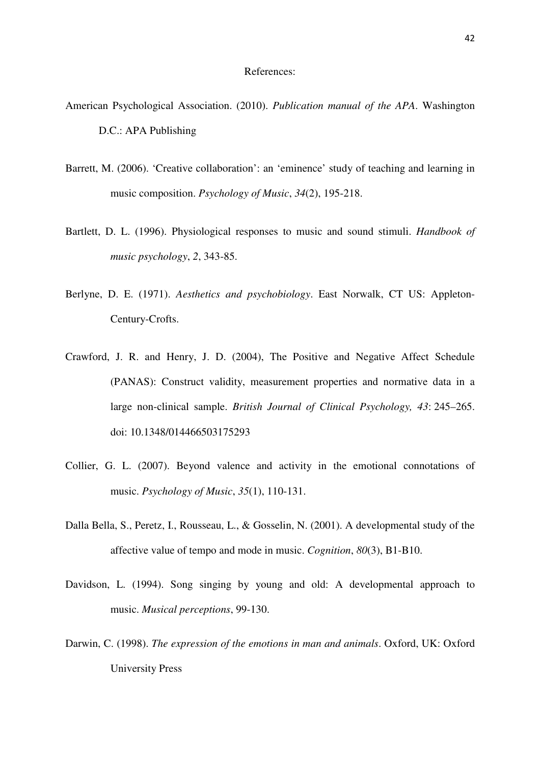#### References:

- American Psychological Association. (2010). *Publication manual of the APA*. Washington D.C.: APA Publishing
- Barrett, M. (2006). 'Creative collaboration': an 'eminence' study of teaching and learning in music composition. *Psychology of Music*, *34*(2), 195-218.
- Bartlett, D. L. (1996). Physiological responses to music and sound stimuli. *Handbook of music psychology*, *2*, 343-85.
- Berlyne, D. E. (1971). *Aesthetics and psychobiology*. East Norwalk, CT US: Appleton-Century-Crofts.
- Crawford, J. R. and Henry, J. D. (2004), The Positive and Negative Affect Schedule (PANAS): Construct validity, measurement properties and normative data in a large non-clinical sample. *British Journal of Clinical Psychology, 43*: 245–265. doi: 10.1348/014466503175293
- Collier, G. L. (2007). Beyond valence and activity in the emotional connotations of music. *Psychology of Music*, *35*(1), 110-131.
- Dalla Bella, S., Peretz, I., Rousseau, L., & Gosselin, N. (2001). A developmental study of the affective value of tempo and mode in music. *Cognition*, *80*(3), B1-B10.
- Davidson, L. (1994). Song singing by young and old: A developmental approach to music. *Musical perceptions*, 99-130.
- Darwin, C. (1998). *The expression of the emotions in man and animals*. Oxford, UK: Oxford University Press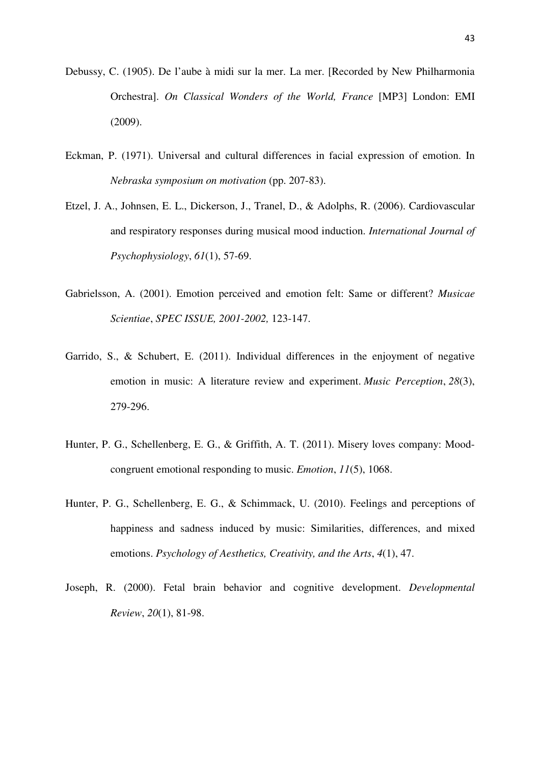- Debussy, C. (1905). De l'aube à midi sur la mer. La mer. [Recorded by New Philharmonia Orchestra]. *On Classical Wonders of the World, France* [MP3] London: EMI (2009).
- Eckman, P. (1971). Universal and cultural differences in facial expression of emotion. In *Nebraska symposium on motivation* (pp. 207-83).
- Etzel, J. A., Johnsen, E. L., Dickerson, J., Tranel, D., & Adolphs, R. (2006). Cardiovascular and respiratory responses during musical mood induction. *International Journal of Psychophysiology*, *61*(1), 57-69.
- Gabrielsson, A. (2001). Emotion perceived and emotion felt: Same or different? *Musicae Scientiae*, *SPEC ISSUE, 2001-2002,* 123-147.
- Garrido, S., & Schubert, E. (2011). Individual differences in the enjoyment of negative emotion in music: A literature review and experiment. *Music Perception*, *28*(3), 279-296.
- Hunter, P. G., Schellenberg, E. G., & Griffith, A. T. (2011). Misery loves company: Moodcongruent emotional responding to music. *Emotion*, *11*(5), 1068.
- Hunter, P. G., Schellenberg, E. G., & Schimmack, U. (2010). Feelings and perceptions of happiness and sadness induced by music: Similarities, differences, and mixed emotions. *Psychology of Aesthetics, Creativity, and the Arts*, *4*(1), 47.
- Joseph, R. (2000). Fetal brain behavior and cognitive development. *Developmental Review*, *20*(1), 81-98.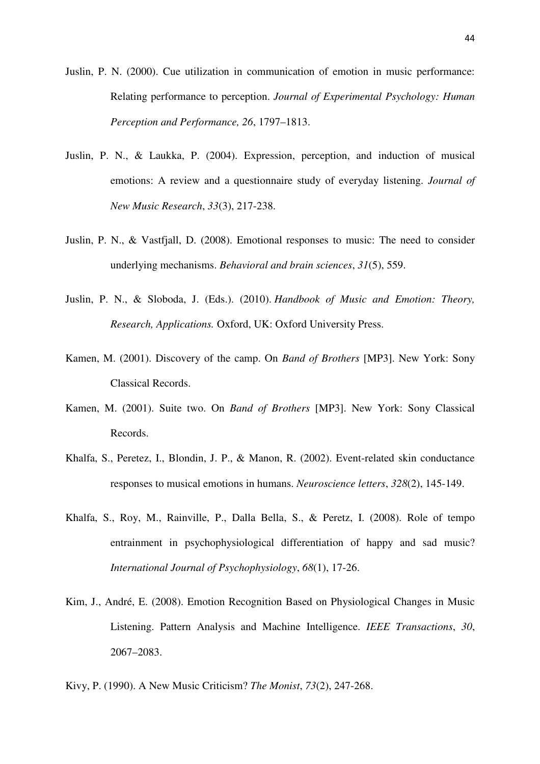Juslin, P. N. (2000). Cue utilization in communication of emotion in music performance: Relating performance to perception. *Journal of Experimental Psychology: Human Perception and Performance, 26*, 1797–1813.

- Juslin, P. N., & Laukka, P. (2004). Expression, perception, and induction of musical emotions: A review and a questionnaire study of everyday listening. *Journal of New Music Research*, *33*(3), 217-238.
- Juslin, P. N., & Vastfjall, D. (2008). Emotional responses to music: The need to consider underlying mechanisms. *Behavioral and brain sciences*, *31*(5), 559.
- Juslin, P. N., & Sloboda, J. (Eds.). (2010). *Handbook of Music and Emotion: Theory, Research, Applications.* Oxford, UK: Oxford University Press.
- Kamen, M. (2001). Discovery of the camp. On *Band of Brothers* [MP3]. New York: Sony Classical Records.
- Kamen, M. (2001). Suite two. On *Band of Brothers* [MP3]. New York: Sony Classical Records.
- Khalfa, S., Peretez, I., Blondin, J. P., & Manon, R. (2002). Event-related skin conductance responses to musical emotions in humans. *Neuroscience letters*, *328*(2), 145-149.
- Khalfa, S., Roy, M., Rainville, P., Dalla Bella, S., & Peretz, I. (2008). Role of tempo entrainment in psychophysiological differentiation of happy and sad music? *International Journal of Psychophysiology*, *68*(1), 17-26.
- Kim, J., André, E. (2008). Emotion Recognition Based on Physiological Changes in Music Listening. Pattern Analysis and Machine Intelligence. *IEEE Transactions*, *30*, 2067–2083.
- Kivy, P. (1990). A New Music Criticism? *The Monist*, *73*(2), 247-268.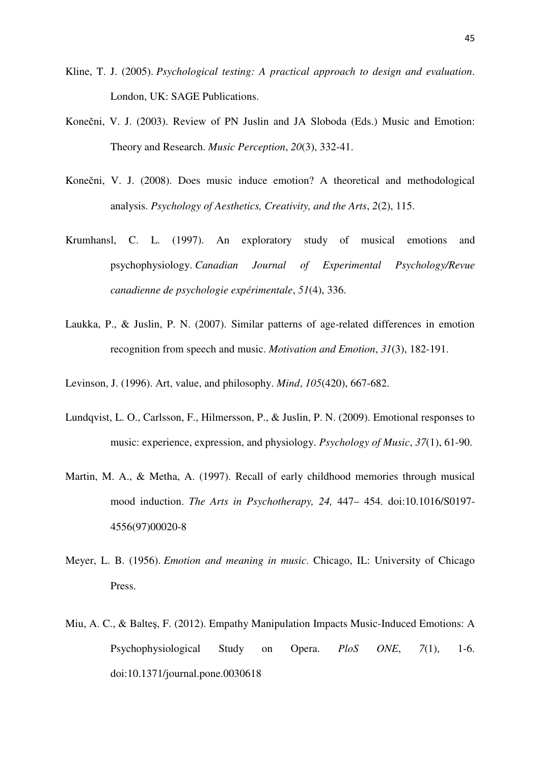- Kline, T. J. (2005). *Psychological testing: A practical approach to design and evaluation*. London, UK: SAGE Publications.
- Konečni, V. J. (2003). Review of PN Juslin and JA Sloboda (Eds.) Music and Emotion: Theory and Research. *Music Perception*, *20*(3), 332-41.
- Konečni, V. J. (2008). Does music induce emotion? A theoretical and methodological analysis. *Psychology of Aesthetics, Creativity, and the Arts*, *2*(2), 115.
- Krumhansl, C. L. (1997). An exploratory study of musical emotions and psychophysiology. *Canadian Journal of Experimental Psychology/Revue canadienne de psychologie expérimentale*, *51*(4), 336.
- Laukka, P., & Juslin, P. N. (2007). Similar patterns of age-related differences in emotion recognition from speech and music. *Motivation and Emotion*, *31*(3), 182-191.
- Levinson, J. (1996). Art, value, and philosophy. *Mind*, *105*(420), 667-682.
- Lundqvist, L. O., Carlsson, F., Hilmersson, P., & Juslin, P. N. (2009). Emotional responses to music: experience, expression, and physiology. *Psychology of Music*, *37*(1), 61-90.
- Martin, M. A., & Metha, A. (1997). Recall of early childhood memories through musical mood induction. *The Arts in Psychotherapy, 24,* 447– 454. doi:10.1016/S0197- 4556(97)00020-8
- Meyer, L. B. (1956). *Emotion and meaning in music*. Chicago, IL: University of Chicago Press.
- Miu, A. C., & Balteş, F. (2012). Empathy Manipulation Impacts Music-Induced Emotions: A Psychophysiological Study on Opera. *PloS ONE*, *7*(1), 1-6. doi:10.1371/journal.pone.0030618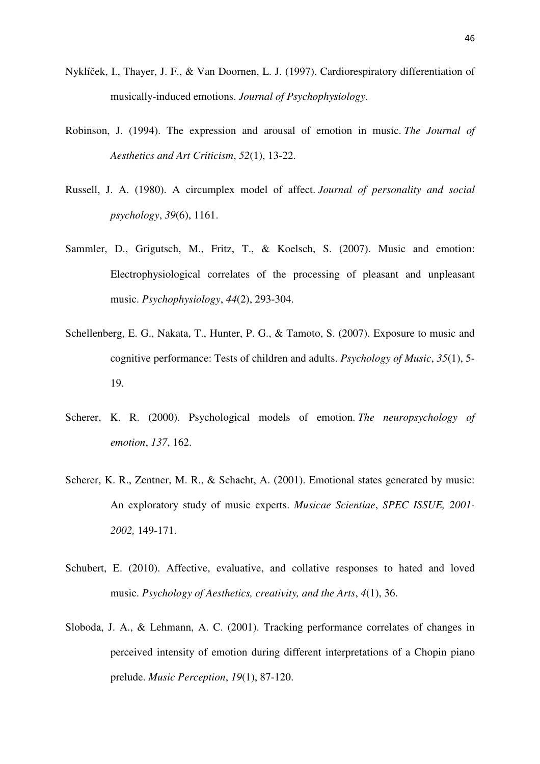- Nyklíček, I., Thayer, J. F., & Van Doornen, L. J. (1997). Cardiorespiratory differentiation of musically-induced emotions. *Journal of Psychophysiology*.
- Robinson, J. (1994). The expression and arousal of emotion in music. *The Journal of Aesthetics and Art Criticism*, *52*(1), 13-22.
- Russell, J. A. (1980). A circumplex model of affect. *Journal of personality and social psychology*, *39*(6), 1161.
- Sammler, D., Grigutsch, M., Fritz, T., & Koelsch, S. (2007). Music and emotion: Electrophysiological correlates of the processing of pleasant and unpleasant music. *Psychophysiology*, *44*(2), 293-304.
- Schellenberg, E. G., Nakata, T., Hunter, P. G., & Tamoto, S. (2007). Exposure to music and cognitive performance: Tests of children and adults. *Psychology of Music*, *35*(1), 5- 19.
- Scherer, K. R. (2000). Psychological models of emotion. *The neuropsychology of emotion*, *137*, 162.
- Scherer, K. R., Zentner, M. R., & Schacht, A. (2001). Emotional states generated by music: An exploratory study of music experts. *Musicae Scientiae*, *SPEC ISSUE, 2001- 2002,* 149-171.
- Schubert, E. (2010). Affective, evaluative, and collative responses to hated and loved music. *Psychology of Aesthetics, creativity, and the Arts*, *4*(1), 36.
- Sloboda, J. A., & Lehmann, A. C. (2001). Tracking performance correlates of changes in perceived intensity of emotion during different interpretations of a Chopin piano prelude. *Music Perception*, *19*(1), 87-120.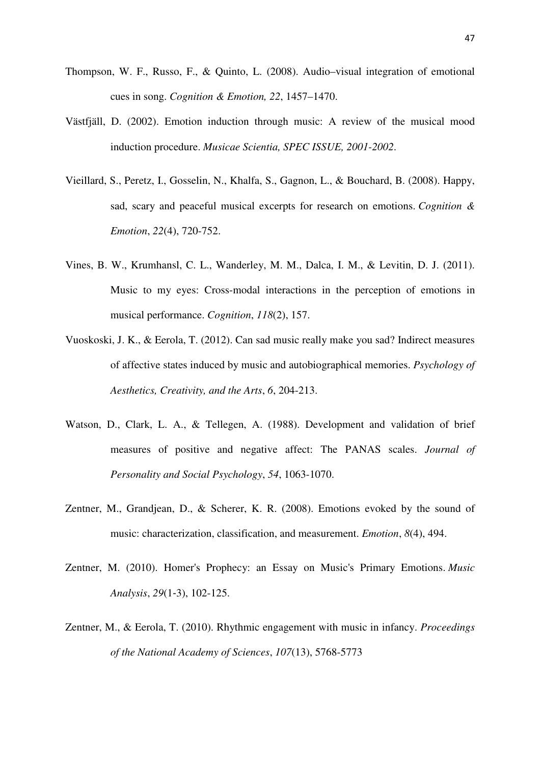- Thompson, W. F., Russo, F., & Quinto, L. (2008). Audio–visual integration of emotional cues in song. *Cognition & Emotion, 22*, 1457–1470.
- Västfjäll, D. (2002). Emotion induction through music: A review of the musical mood induction procedure. *Musicae Scientia, SPEC ISSUE, 2001-2002*.
- Vieillard, S., Peretz, I., Gosselin, N., Khalfa, S., Gagnon, L., & Bouchard, B. (2008). Happy, sad, scary and peaceful musical excerpts for research on emotions. *Cognition & Emotion*, *22*(4), 720-752.
- Vines, B. W., Krumhansl, C. L., Wanderley, M. M., Dalca, I. M., & Levitin, D. J. (2011). Music to my eyes: Cross-modal interactions in the perception of emotions in musical performance. *Cognition*, *118*(2), 157.
- Vuoskoski, J. K., & Eerola, T. (2012). Can sad music really make you sad? Indirect measures of affective states induced by music and autobiographical memories. *Psychology of Aesthetics, Creativity, and the Arts*, *6*, 204-213.
- Watson, D., Clark, L. A., & Tellegen, A. (1988). Development and validation of brief measures of positive and negative affect: The PANAS scales. *Journal of Personality and Social Psychology*, *54*, 1063-1070.
- Zentner, M., Grandjean, D., & Scherer, K. R. (2008). Emotions evoked by the sound of music: characterization, classification, and measurement. *Emotion*, *8*(4), 494.
- Zentner, M. (2010). Homer's Prophecy: an Essay on Music's Primary Emotions. *Music Analysis*, *29*(1‐3), 102-125.
- Zentner, M., & Eerola, T. (2010). Rhythmic engagement with music in infancy. *Proceedings of the National Academy of Sciences*, *107*(13), 5768-5773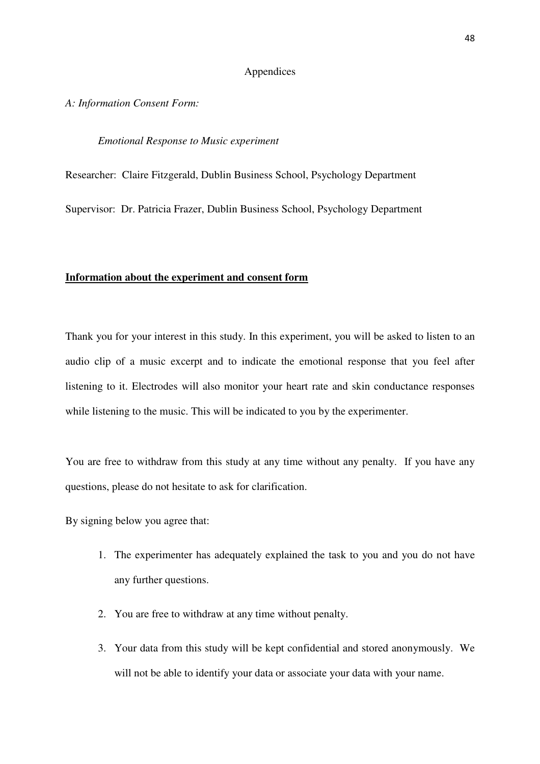## Appendices

*A: Information Consent Form:* 

## *Emotional Response to Music experiment*

Researcher: Claire Fitzgerald, Dublin Business School, Psychology Department

Supervisor: Dr. Patricia Frazer, Dublin Business School, Psychology Department

## **Information about the experiment and consent form**

Thank you for your interest in this study. In this experiment, you will be asked to listen to an audio clip of a music excerpt and to indicate the emotional response that you feel after listening to it. Electrodes will also monitor your heart rate and skin conductance responses while listening to the music. This will be indicated to you by the experimenter.

You are free to withdraw from this study at any time without any penalty. If you have any questions, please do not hesitate to ask for clarification.

By signing below you agree that:

- 1. The experimenter has adequately explained the task to you and you do not have any further questions.
- 2. You are free to withdraw at any time without penalty.
- 3. Your data from this study will be kept confidential and stored anonymously. We will not be able to identify your data or associate your data with your name.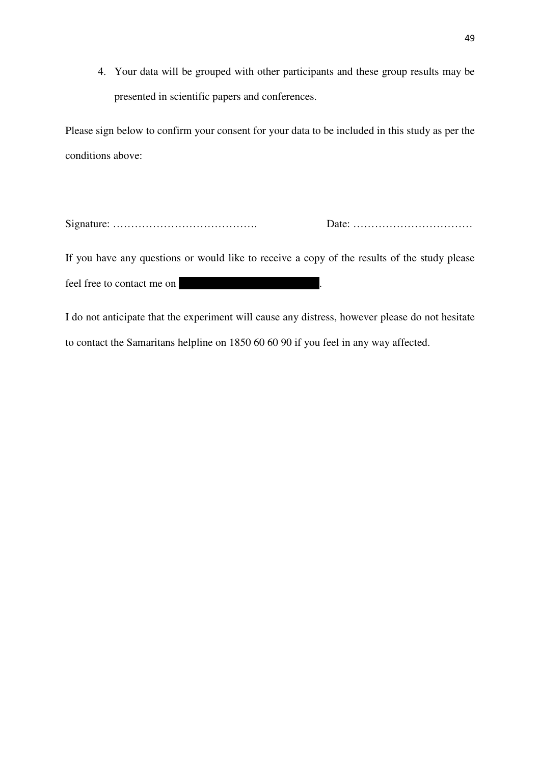4. Your data will be grouped with other participants and these group results may be presented in scientific papers and conferences.

Please sign below to confirm your consent for your data to be included in this study as per the conditions above:

Signature: …………………………………. Date: ……………………………

If you have any questions or would like to receive a copy of the results of the study please feel free to contact me on

I do not anticipate that the experiment will cause any distress, however please do not hesitate to contact the Samaritans helpline on 1850 60 60 90 if you feel in any way affected.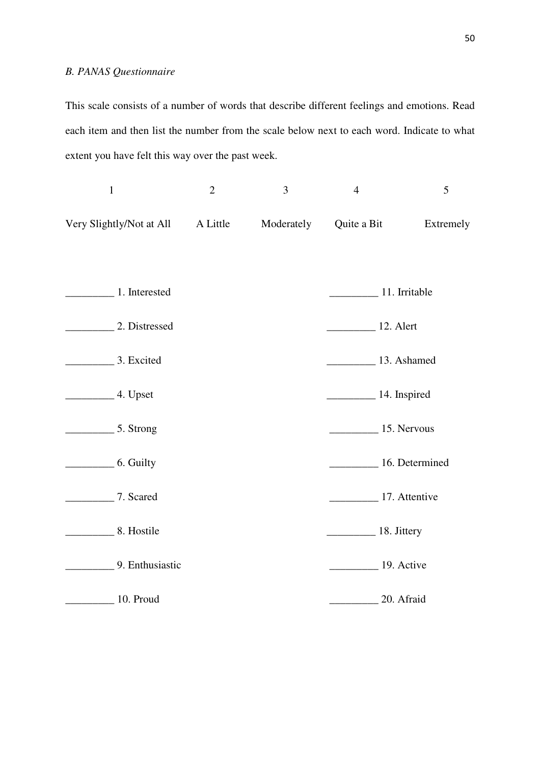# *B. PANAS Questionnaire*

This scale consists of a number of words that describe different feelings and emotions. Read each item and then list the number from the scale below next to each word. Indicate to what extent you have felt this way over the past week.

| $\mathbf{1}$                              | $\overline{2}$ | 3          | $\overline{4}$                 | 5         |
|-------------------------------------------|----------------|------------|--------------------------------|-----------|
| Very Slightly/Not at All                  | A Little       | Moderately | Quite a Bit                    | Extremely |
|                                           |                |            |                                |           |
| 1. Interested                             |                |            | 11. Irritable                  |           |
| 2. Distressed                             |                |            | <b>12. Alert</b>               |           |
| 3. Excited                                |                |            | 13. Ashamed                    |           |
| $\frac{4. \text{Upset}}{4. \text{Upset}}$ |                |            | $\frac{1}{4}$ . Inspired       |           |
| $\frac{1}{2}$ 5. Strong                   |                |            | $\frac{15}{2}$ Mervous         |           |
| 6. Guilty                                 |                |            | 16. Determined                 |           |
| 7. Scared                                 |                |            | 17. Attentive                  |           |
| 8. Hostile                                |                |            | $\frac{18. \text{Jittery}}{2}$ |           |
| 9. Enthusiastic                           |                |            | 19. Active                     |           |
| 10. Proud                                 |                |            | 20. Afraid                     |           |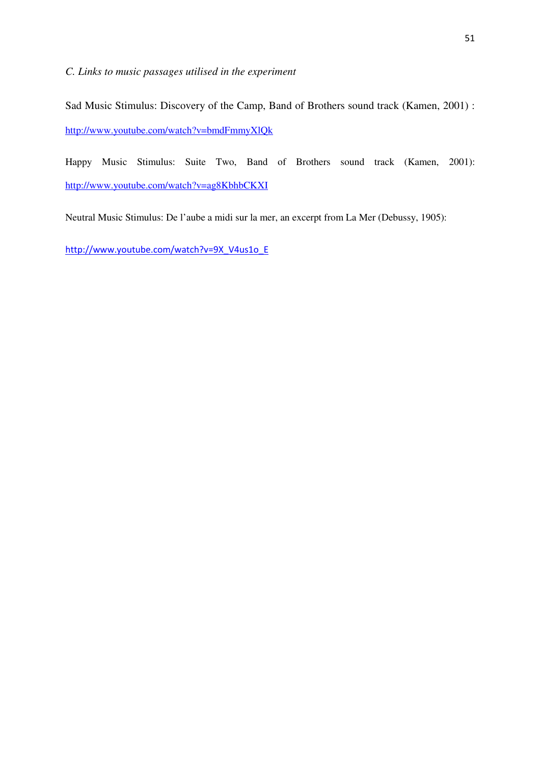*C. Links to music passages utilised in the experiment* 

Sad Music Stimulus: Discovery of the Camp, Band of Brothers sound track (Kamen, 2001) : http://www.youtube.com/watch?v=bmdFmmyXlQk

Happy Music Stimulus: Suite Two, Band of Brothers sound track (Kamen, 2001): http://www.youtube.com/watch?v=ag8KbhbCKXI

Neutral Music Stimulus: De l'aube a midi sur la mer, an excerpt from La Mer (Debussy, 1905):

http://www.youtube.com/watch?v=9X\_V4us1o\_E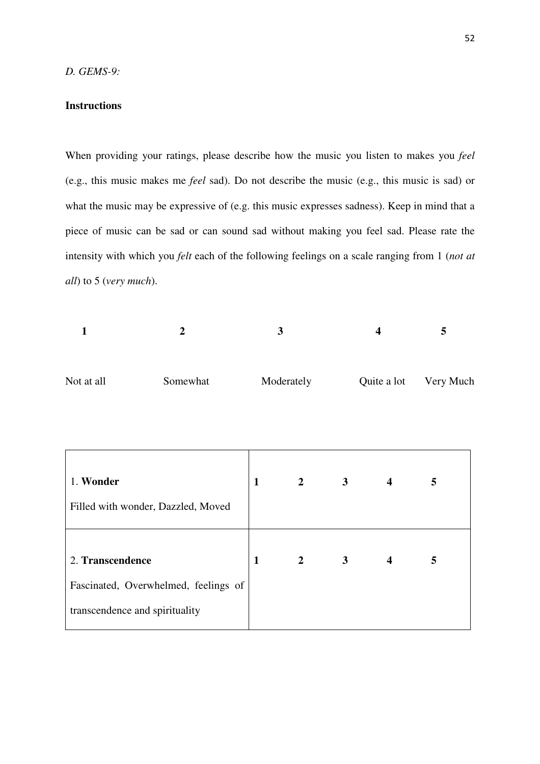## **Instructions**

When providing your ratings, please describe how the music you listen to makes you *feel*  (e.g., this music makes me *feel* sad). Do not describe the music (e.g., this music is sad) or what the music may be expressive of (e.g. this music expresses sadness). Keep in mind that a piece of music can be sad or can sound sad without making you feel sad. Please rate the intensity with which you *felt* each of the following feelings on a scale ranging from 1 (*not at all*) to 5 (*very much*).

| 1<br>$\overline{2}$                                |                                      |              | 3              |                | $\overline{\mathbf{4}}$ | 5                     |  |
|----------------------------------------------------|--------------------------------------|--------------|----------------|----------------|-------------------------|-----------------------|--|
| Not at all<br>Somewhat                             |                                      | Moderately   |                |                |                         | Quite a lot Very Much |  |
| 1. Wonder                                          | Filled with wonder, Dazzled, Moved   | $\mathbf{1}$ | $2^{\circ}$    | 3 <sup>1</sup> | $\overline{\mathbf{4}}$ | 5                     |  |
| 2. Transcendence<br>transcendence and spirituality | Fascinated, Overwhelmed, feelings of | $\mathbf{1}$ | $\overline{2}$ | 3 <sup>1</sup> | $\overline{\mathbf{4}}$ | 5                     |  |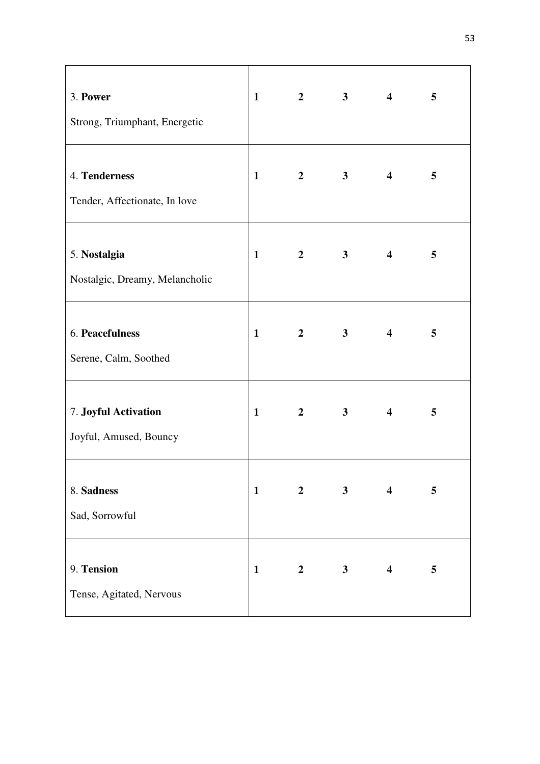| 3. Power<br>Strong, Triumphant, Energetic      | $\mathbf{1}$ | $\mathbf{2}$   | $\overline{\mathbf{3}}$ | $\overline{\mathbf{4}}$ | 5 |
|------------------------------------------------|--------------|----------------|-------------------------|-------------------------|---|
| 4. Tenderness<br>Tender, Affectionate, In love | $\mathbf{1}$ | $\overline{2}$ | 3 <sup>1</sup>          | $\overline{\mathbf{4}}$ | 5 |
| 5. Nostalgia<br>Nostalgic, Dreamy, Melancholic | $\mathbf{1}$ | $\overline{2}$ | 3 <sup>7</sup>          | $\overline{\mathbf{4}}$ | 5 |
| 6. Peacefulness<br>Serene, Calm, Soothed       | $\mathbf{1}$ | $\overline{2}$ | 3 <sup>7</sup>          | $\overline{\mathbf{4}}$ | 5 |
| 7. Joyful Activation<br>Joyful, Amused, Bouncy | $\mathbf{1}$ | $\mathbf{2}$   | $\overline{\mathbf{3}}$ | $\overline{\mathbf{4}}$ | 5 |
| 8. Sadness<br>Sad, Sorrowful                   | $\mathbf{1}$ | $\overline{2}$ | 3 <sup>1</sup>          | $\overline{\mathbf{4}}$ | 5 |
| 9. Tension<br>Tense, Agitated, Nervous         | $\mathbf{1}$ | $\overline{2}$ | $\overline{\mathbf{3}}$ | $\overline{\mathbf{4}}$ | 5 |